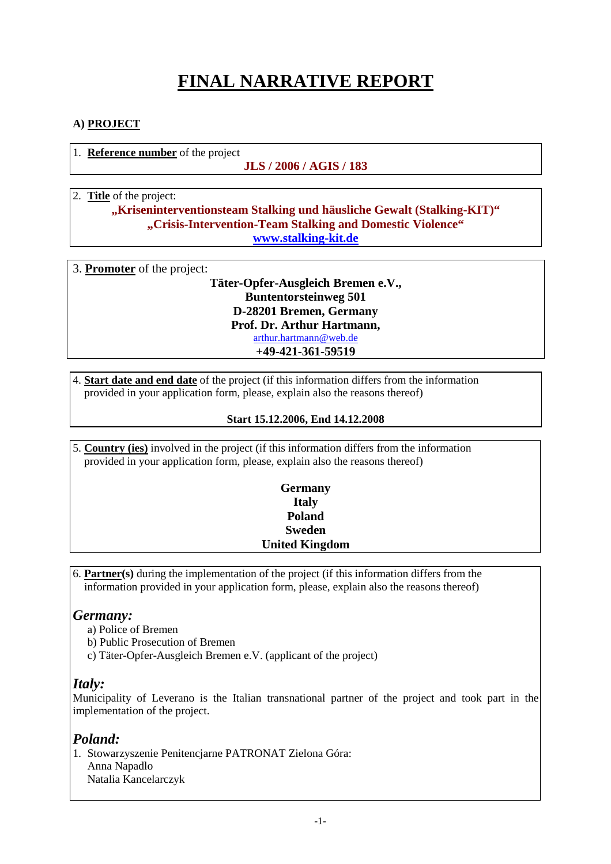# **FINAL NARRATIVE REPORT**

### **A) PROJECT**

1. **Reference number** of the project

#### **JLS / 2006 / AGIS / 183**

## 2. **Title** of the project:

### **"Kriseninterventionsteam Stalking und häusliche Gewalt (Stalking-KIT)" "Crisis-Intervention-Team Stalking and Domestic Violence" www.stalking-kit.de**

| 3. <b>Promoter</b> of the project: |  |
|------------------------------------|--|
| Täter-Opfer-Ausgleich Bremen e.V., |  |
| <b>Buntentorsteinweg 501</b>       |  |
| D-28201 Bremen, Germany            |  |
| Prof. Dr. Arthur Hartmann,         |  |
| arthur.hartmann@web.de             |  |
| +49-421-361-59519                  |  |
|                                    |  |

4. **Start date and end date** of the project (if this information differs from the information provided in your application form, please, explain also the reasons thereof)

#### **Start 15.12.2006, End 14.12.2008**

5. **Country (ies)** involved in the project (if this information differs from the information provided in your application form, please, explain also the reasons thereof)

| <b>Germany</b>        |  |
|-----------------------|--|
| <b>Italy</b>          |  |
| Poland                |  |
| <b>Sweden</b>         |  |
| <b>United Kingdom</b> |  |
|                       |  |

6. **Partner(s)** during the implementation of the project (if this information differs from the information provided in your application form, please, explain also the reasons thereof)

### *Germany:*

- a) Police of Bremen
- b) Public Prosecution of Bremen
- c) Täter-Opfer-Ausgleich Bremen e.V. (applicant of the project)

### *Italy:*

Municipality of Leverano is the Italian transnational partner of the project and took part in the implementation of the project.

### *Poland:*

1. Stowarzyszenie Penitencjarne PATRONAT Zielona Góra: Anna Napadlo Natalia Kancelarczyk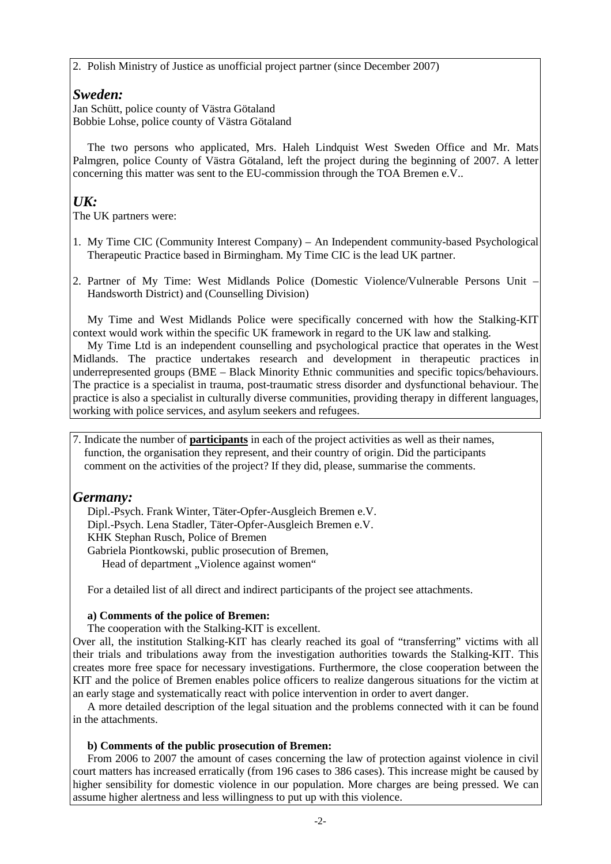2. Polish Ministry of Justice as unofficial project partner (since December 2007)

### *Sweden:*

Jan Schütt, police county of Västra Götaland Bobbie Lohse, police county of Västra Götaland

The two persons who applicated, Mrs. Haleh Lindquist West Sweden Office and Mr. Mats Palmgren, police County of Västra Götaland, left the project during the beginning of 2007. A letter concerning this matter was sent to the EU-commission through the TOA Bremen e.V..

# *UK:*

The UK partners were:

- 1. My Time CIC (Community Interest Company) An Independent community-based Psychological Therapeutic Practice based in Birmingham. My Time CIC is the lead UK partner.
- 2. Partner of My Time: West Midlands Police (Domestic Violence/Vulnerable Persons Unit Handsworth District) and (Counselling Division)

My Time and West Midlands Police were specifically concerned with how the Stalking-KIT context would work within the specific UK framework in regard to the UK law and stalking.

My Time Ltd is an independent counselling and psychological practice that operates in the West Midlands. The practice undertakes research and development in therapeutic practices in underrepresented groups (BME – Black Minority Ethnic communities and specific topics/behaviours. The practice is a specialist in trauma, post-traumatic stress disorder and dysfunctional behaviour. The practice is also a specialist in culturally diverse communities, providing therapy in different languages, working with police services, and asylum seekers and refugees.

7. Indicate the number of **participants** in each of the project activities as well as their names, function, the organisation they represent, and their country of origin. Did the participants comment on the activities of the project? If they did, please, summarise the comments.

# *Germany:*

Dipl.-Psych. Frank Winter, Täter-Opfer-Ausgleich Bremen e.V. Dipl.-Psych. Lena Stadler, Täter-Opfer-Ausgleich Bremen e.V. KHK Stephan Rusch, Police of Bremen Gabriela Piontkowski, public prosecution of Bremen, Head of department "Violence against women"

For a detailed list of all direct and indirect participants of the project see attachments.

#### **a) Comments of the police of Bremen:**

The cooperation with the Stalking-KIT is excellent.

Over all, the institution Stalking-KIT has clearly reached its goal of "transferring" victims with all their trials and tribulations away from the investigation authorities towards the Stalking-KIT. This creates more free space for necessary investigations. Furthermore, the close cooperation between the KIT and the police of Bremen enables police officers to realize dangerous situations for the victim at an early stage and systematically react with police intervention in order to avert danger.

A more detailed description of the legal situation and the problems connected with it can be found in the attachments.

#### **b) Comments of the public prosecution of Bremen:**

From 2006 to 2007 the amount of cases concerning the law of protection against violence in civil court matters has increased erratically (from 196 cases to 386 cases). This increase might be caused by higher sensibility for domestic violence in our population. More charges are being pressed. We can assume higher alertness and less willingness to put up with this violence.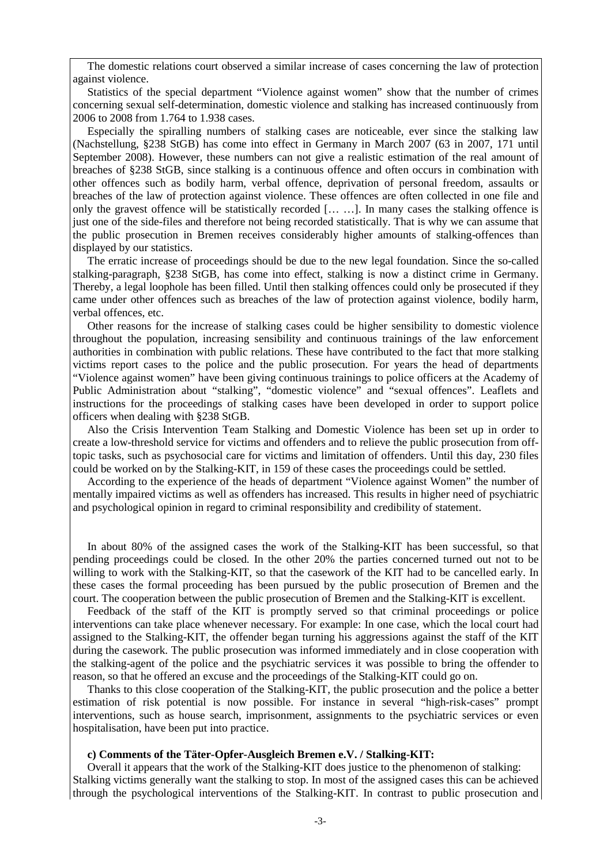The domestic relations court observed a similar increase of cases concerning the law of protection against violence.

Statistics of the special department "Violence against women" show that the number of crimes concerning sexual self-determination, domestic violence and stalking has increased continuously from 2006 to 2008 from 1.764 to 1.938 cases.

Especially the spiralling numbers of stalking cases are noticeable, ever since the stalking law (Nachstellung, §238 StGB) has come into effect in Germany in March 2007 (63 in 2007, 171 until September 2008). However, these numbers can not give a realistic estimation of the real amount of breaches of §238 StGB, since stalking is a continuous offence and often occurs in combination with other offences such as bodily harm, verbal offence, deprivation of personal freedom, assaults or breaches of the law of protection against violence. These offences are often collected in one file and only the gravest offence will be statistically recorded [… …]. In many cases the stalking offence is just one of the side-files and therefore not being recorded statistically. That is why we can assume that the public prosecution in Bremen receives considerably higher amounts of stalking-offences than displayed by our statistics.

The erratic increase of proceedings should be due to the new legal foundation. Since the so-called stalking-paragraph, §238 StGB, has come into effect, stalking is now a distinct crime in Germany. Thereby, a legal loophole has been filled. Until then stalking offences could only be prosecuted if they came under other offences such as breaches of the law of protection against violence, bodily harm, verbal offences, etc.

Other reasons for the increase of stalking cases could be higher sensibility to domestic violence throughout the population, increasing sensibility and continuous trainings of the law enforcement authorities in combination with public relations. These have contributed to the fact that more stalking victims report cases to the police and the public prosecution. For years the head of departments "Violence against women" have been giving continuous trainings to police officers at the Academy of Public Administration about "stalking", "domestic violence" and "sexual offences". Leaflets and instructions for the proceedings of stalking cases have been developed in order to support police officers when dealing with §238 StGB.

Also the Crisis Intervention Team Stalking and Domestic Violence has been set up in order to create a low-threshold service for victims and offenders and to relieve the public prosecution from offtopic tasks, such as psychosocial care for victims and limitation of offenders. Until this day, 230 files could be worked on by the Stalking-KIT, in 159 of these cases the proceedings could be settled.

According to the experience of the heads of department "Violence against Women" the number of mentally impaired victims as well as offenders has increased. This results in higher need of psychiatric and psychological opinion in regard to criminal responsibility and credibility of statement.

In about 80% of the assigned cases the work of the Stalking-KIT has been successful, so that pending proceedings could be closed. In the other 20% the parties concerned turned out not to be willing to work with the Stalking-KIT, so that the casework of the KIT had to be cancelled early. In these cases the formal proceeding has been pursued by the public prosecution of Bremen and the court. The cooperation between the public prosecution of Bremen and the Stalking-KIT is excellent.

Feedback of the staff of the KIT is promptly served so that criminal proceedings or police interventions can take place whenever necessary. For example: In one case, which the local court had assigned to the Stalking-KIT, the offender began turning his aggressions against the staff of the KIT during the casework. The public prosecution was informed immediately and in close cooperation with the stalking-agent of the police and the psychiatric services it was possible to bring the offender to reason, so that he offered an excuse and the proceedings of the Stalking-KIT could go on.

Thanks to this close cooperation of the Stalking-KIT, the public prosecution and the police a better estimation of risk potential is now possible. For instance in several "high-risk-cases" prompt interventions, such as house search, imprisonment, assignments to the psychiatric services or even hospitalisation, have been put into practice.

#### **c) Comments of the Täter-Opfer-Ausgleich Bremen e.V. / Stalking-KIT:**

Overall it appears that the work of the Stalking-KIT does justice to the phenomenon of stalking: Stalking victims generally want the stalking to stop. In most of the assigned cases this can be achieved through the psychological interventions of the Stalking-KIT. In contrast to public prosecution and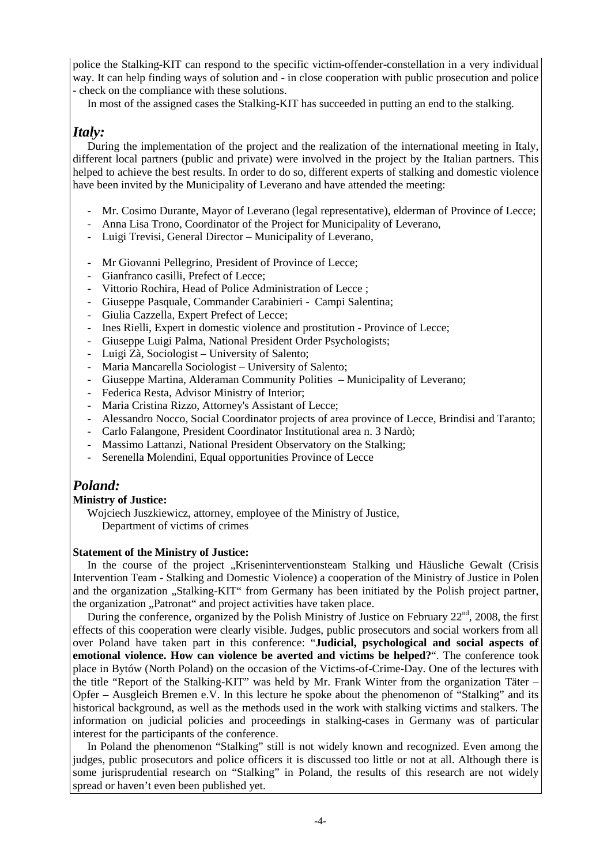police the Stalking-KIT can respond to the specific victim-offender-constellation in a very individual way. It can help finding ways of solution and - in close cooperation with public prosecution and police - check on the compliance with these solutions.

In most of the assigned cases the Stalking-KIT has succeeded in putting an end to the stalking.

# *Italy:*

During the implementation of the project and the realization of the international meeting in Italy, different local partners (public and private) were involved in the project by the Italian partners. This helped to achieve the best results. In order to do so, different experts of stalking and domestic violence have been invited by the Municipality of Leverano and have attended the meeting:

- Mr. Cosimo Durante, Mayor of Leverano (legal representative), elderman of Province of Lecce;
- Anna Lisa Trono, Coordinator of the Project for Municipality of Leverano,
- Luigi Trevisi, General Director Municipality of Leverano,
- Mr Giovanni Pellegrino, President of Province of Lecce;
- Gianfranco casilli, Prefect of Lecce;
- Vittorio Rochira, Head of Police Administration of Lecce ;
- Giuseppe Pasquale, Commander Carabinieri Campi Salentina;
- Giulia Cazzella, Expert Prefect of Lecce;
- Ines Rielli, Expert in domestic violence and prostitution Province of Lecce;
- Giuseppe Luigi Palma, National President Order Psychologists;
- Luigi Zà, Sociologist University of Salento;
- Maria Mancarella Sociologist University of Salento;
- Giuseppe Martina, Alderaman Community Polities Municipality of Leverano;
- Federica Resta, Advisor Ministry of Interior;
- Maria Cristina Rizzo, Attorney's Assistant of Lecce;
- Alessandro Nocco, Social Coordinator projects of area province of Lecce, Brindisi and Taranto;
- Carlo Falangone, President Coordinator Institutional area n. 3 Nardò;
- Massimo Lattanzi, National President Observatory on the Stalking;
- Serenella Molendini, Equal opportunities Province of Lecce

# *Poland:*

#### **Ministry of Justice:**

Wojciech Juszkiewicz, attorney, employee of the Ministry of Justice, Department of victims of crimes

#### **Statement of the Ministry of Justice:**

In the course of the project "Kriseninterventionsteam Stalking und Häusliche Gewalt (Crisis Intervention Team - Stalking and Domestic Violence) a cooperation of the Ministry of Justice in Polen and the organization ..Stalking-KIT" from Germany has been initiated by the Polish project partner, the organization "Patronat" and project activities have taken place.

During the conference, organized by the Polish Ministry of Justice on February  $22<sup>nd</sup>$ , 2008, the first effects of this cooperation were clearly visible. Judges, public prosecutors and social workers from all over Poland have taken part in this conference: "**Judicial, psychological and social aspects of emotional violence. How can violence be averted and victims be helped?**". The conference took place in Bytów (North Poland) on the occasion of the Victims-of-Crime-Day. One of the lectures with the title "Report of the Stalking-KIT" was held by Mr. Frank Winter from the organization Täter – Opfer – Ausgleich Bremen e.V. In this lecture he spoke about the phenomenon of "Stalking" and its historical background, as well as the methods used in the work with stalking victims and stalkers. The information on judicial policies and proceedings in stalking-cases in Germany was of particular interest for the participants of the conference.

In Poland the phenomenon "Stalking" still is not widely known and recognized. Even among the judges, public prosecutors and police officers it is discussed too little or not at all. Although there is some jurisprudential research on "Stalking" in Poland, the results of this research are not widely spread or haven't even been published yet.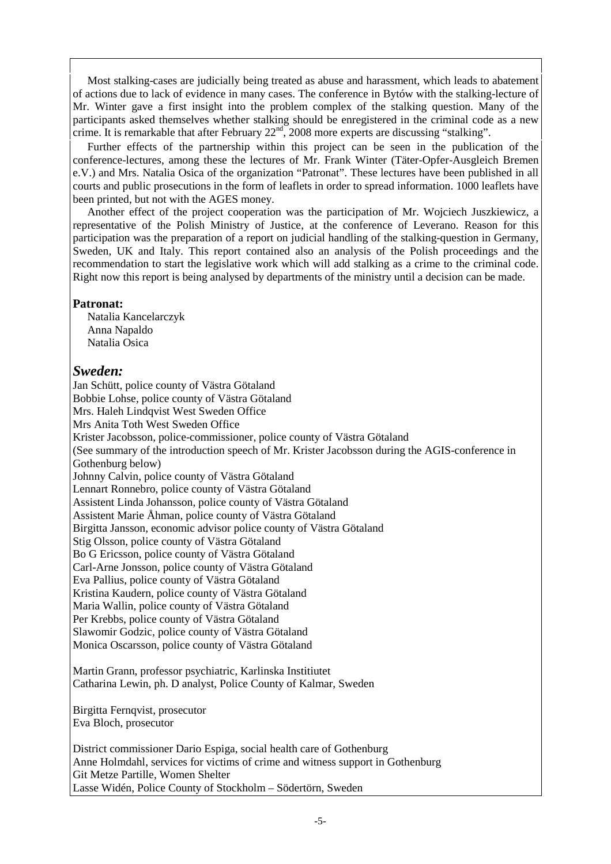Most stalking-cases are judicially being treated as abuse and harassment, which leads to abatement of actions due to lack of evidence in many cases. The conference in Bytów with the stalking-lecture of Mr. Winter gave a first insight into the problem complex of the stalking question. Many of the participants asked themselves whether stalking should be enregistered in the criminal code as a new crime. It is remarkable that after February 22nd, 2008 more experts are discussing "stalking".

Further effects of the partnership within this project can be seen in the publication of the conference-lectures, among these the lectures of Mr. Frank Winter (Täter-Opfer-Ausgleich Bremen e.V.) and Mrs. Natalia Osica of the organization "Patronat". These lectures have been published in all courts and public prosecutions in the form of leaflets in order to spread information. 1000 leaflets have been printed, but not with the AGES money.

Another effect of the project cooperation was the participation of Mr. Wojciech Juszkiewicz, a representative of the Polish Ministry of Justice, at the conference of Leverano. Reason for this participation was the preparation of a report on judicial handling of the stalking-question in Germany, Sweden, UK and Italy. This report contained also an analysis of the Polish proceedings and the recommendation to start the legislative work which will add stalking as a crime to the criminal code. Right now this report is being analysed by departments of the ministry until a decision can be made.

### **Patronat:**

Natalia Kancelarczyk Anna Napaldo Natalia Osica

### *Sweden:*

Jan Schütt, police county of Västra Götaland Bobbie Lohse, police county of Västra Götaland Mrs. Haleh Lindqvist West Sweden Office Mrs Anita Toth West Sweden Office Krister Jacobsson, police-commissioner, police county of Västra Götaland (See summary of the introduction speech of Mr. Krister Jacobsson during the AGIS-conference in Gothenburg below) Johnny Calvin, police county of Västra Götaland Lennart Ronnebro, police county of Västra Götaland Assistent Linda Johansson, police county of Västra Götaland Assistent Marie Åhman, police county of Västra Götaland Birgitta Jansson, economic advisor police county of Västra Götaland Stig Olsson, police county of Västra Götaland Bo G Ericsson, police county of Västra Götaland Carl-Arne Jonsson, police county of Västra Götaland Eva Pallius, police county of Västra Götaland Kristina Kaudern, police county of Västra Götaland Maria Wallin, police county of Västra Götaland Per Krebbs, police county of Västra Götaland Slawomir Godzic, police county of Västra Götaland Monica Oscarsson, police county of Västra Götaland Martin Grann, professor psychiatric, Karlinska Institiutet Catharina Lewin, ph. D analyst, Police County of Kalmar, Sweden

Birgitta Fernqvist, prosecutor Eva Bloch, prosecutor

District commissioner Dario Espiga, social health care of Gothenburg Anne Holmdahl, services for victims of crime and witness support in Gothenburg Git Metze Partille, Women Shelter Lasse Widén, Police County of Stockholm – Södertörn, Sweden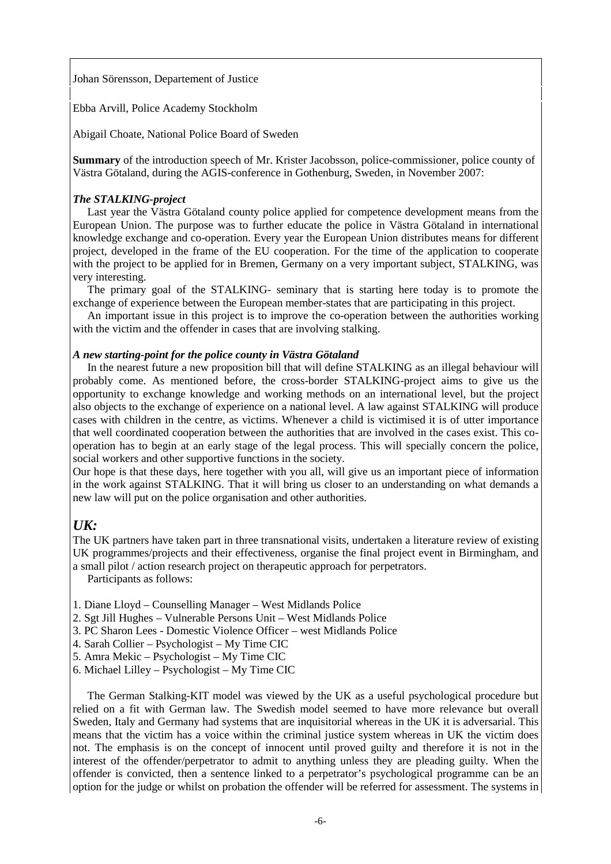Johan Sörensson, Departement of Justice

Ebba Arvill, Police Academy Stockholm

Abigail Choate, National Police Board of Sweden

**Summary** of the introduction speech of Mr. Krister Jacobsson, police-commissioner, police county of Västra Götaland, during the AGIS-conference in Gothenburg, Sweden, in November 2007:

#### *The STALKING-project*

Last year the Västra Götaland county police applied for competence development means from the European Union. The purpose was to further educate the police in Västra Götaland in international knowledge exchange and co-operation. Every year the European Union distributes means for different project, developed in the frame of the EU cooperation. For the time of the application to cooperate with the project to be applied for in Bremen, Germany on a very important subject, STALKING, was very interesting.

The primary goal of the STALKING- seminary that is starting here today is to promote the exchange of experience between the European member-states that are participating in this project.

An important issue in this project is to improve the co-operation between the authorities working with the victim and the offender in cases that are involving stalking.

#### *A new starting-point for the police county in Västra Götaland*

In the nearest future a new proposition bill that will define STALKING as an illegal behaviour will probably come. As mentioned before, the cross-border STALKING-project aims to give us the opportunity to exchange knowledge and working methods on an international level, but the project also objects to the exchange of experience on a national level. A law against STALKING will produce cases with children in the centre, as victims. Whenever a child is victimised it is of utter importance that well coordinated cooperation between the authorities that are involved in the cases exist. This cooperation has to begin at an early stage of the legal process. This will specially concern the police, social workers and other supportive functions in the society.

Our hope is that these days, here together with you all, will give us an important piece of information in the work against STALKING. That it will bring us closer to an understanding on what demands a new law will put on the police organisation and other authorities.

### *UK:*

The UK partners have taken part in three transnational visits, undertaken a literature review of existing UK programmes/projects and their effectiveness, organise the final project event in Birmingham, and a small pilot / action research project on therapeutic approach for perpetrators.

Participants as follows:

- 1. Diane Lloyd Counselling Manager West Midlands Police
- 2. Sgt Jill Hughes Vulnerable Persons Unit West Midlands Police
- 3. PC Sharon Lees Domestic Violence Officer west Midlands Police
- 4. Sarah Collier Psychologist My Time CIC
- 5. Amra Mekic Psychologist My Time CIC
- 6. Michael Lilley Psychologist My Time CIC

The German Stalking-KIT model was viewed by the UK as a useful psychological procedure but relied on a fit with German law. The Swedish model seemed to have more relevance but overall Sweden, Italy and Germany had systems that are inquisitorial whereas in the UK it is adversarial. This means that the victim has a voice within the criminal justice system whereas in UK the victim does not. The emphasis is on the concept of innocent until proved guilty and therefore it is not in the interest of the offender/perpetrator to admit to anything unless they are pleading guilty. When the offender is convicted, then a sentence linked to a perpetrator's psychological programme can be an option for the judge or whilst on probation the offender will be referred for assessment. The systems in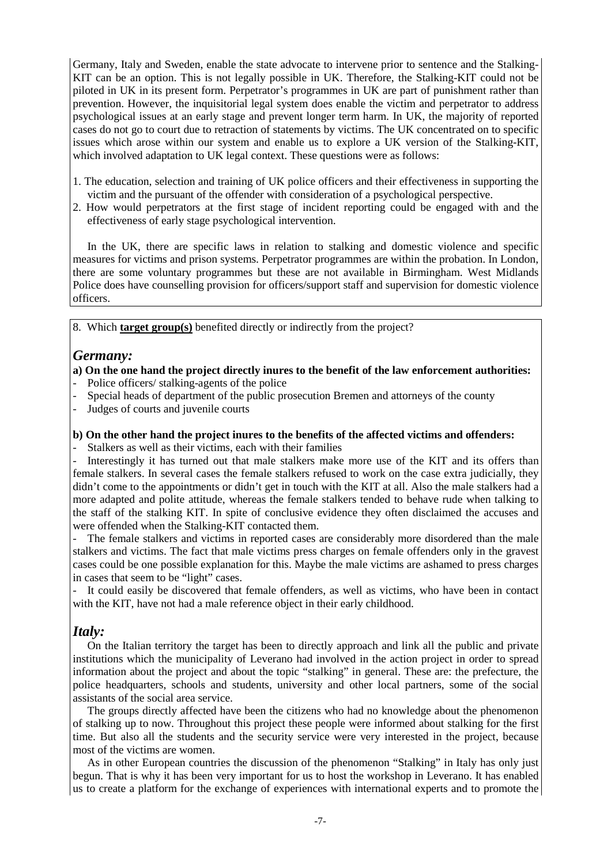Germany, Italy and Sweden, enable the state advocate to intervene prior to sentence and the Stalking-KIT can be an option. This is not legally possible in UK. Therefore, the Stalking-KIT could not be piloted in UK in its present form. Perpetrator's programmes in UK are part of punishment rather than prevention. However, the inquisitorial legal system does enable the victim and perpetrator to address psychological issues at an early stage and prevent longer term harm. In UK, the majority of reported cases do not go to court due to retraction of statements by victims. The UK concentrated on to specific issues which arose within our system and enable us to explore a UK version of the Stalking-KIT, which involved adaptation to UK legal context. These questions were as follows:

- 1. The education, selection and training of UK police officers and their effectiveness in supporting the victim and the pursuant of the offender with consideration of a psychological perspective.
- 2. How would perpetrators at the first stage of incident reporting could be engaged with and the effectiveness of early stage psychological intervention.

In the UK, there are specific laws in relation to stalking and domestic violence and specific measures for victims and prison systems. Perpetrator programmes are within the probation. In London, there are some voluntary programmes but these are not available in Birmingham. West Midlands Police does have counselling provision for officers/support staff and supervision for domestic violence officers.

8. Which **target group(s)** benefited directly or indirectly from the project?

### *Germany:*

- **a) On the one hand the project directly inures to the benefit of the law enforcement authorities:**
- Police officers/ stalking-agents of the police
- Special heads of department of the public prosecution Bremen and attorneys of the county
- Judges of courts and juvenile courts

#### **b) On the other hand the project inures to the benefits of the affected victims and offenders:**

Stalkers as well as their victims, each with their families

Interestingly it has turned out that male stalkers make more use of the KIT and its offers than female stalkers. In several cases the female stalkers refused to work on the case extra judicially, they didn't come to the appointments or didn't get in touch with the KIT at all. Also the male stalkers had a more adapted and polite attitude, whereas the female stalkers tended to behave rude when talking to the staff of the stalking KIT. In spite of conclusive evidence they often disclaimed the accuses and were offended when the Stalking-KIT contacted them.

The female stalkers and victims in reported cases are considerably more disordered than the male stalkers and victims. The fact that male victims press charges on female offenders only in the gravest cases could be one possible explanation for this. Maybe the male victims are ashamed to press charges in cases that seem to be "light" cases.

It could easily be discovered that female offenders, as well as victims, who have been in contact with the KIT, have not had a male reference object in their early childhood.

### *Italy:*

On the Italian territory the target has been to directly approach and link all the public and private institutions which the municipality of Leverano had involved in the action project in order to spread information about the project and about the topic "stalking" in general. These are: the prefecture, the police headquarters, schools and students, university and other local partners, some of the social assistants of the social area service.

The groups directly affected have been the citizens who had no knowledge about the phenomenon of stalking up to now. Throughout this project these people were informed about stalking for the first time. But also all the students and the security service were very interested in the project, because most of the victims are women.

As in other European countries the discussion of the phenomenon "Stalking" in Italy has only just begun. That is why it has been very important for us to host the workshop in Leverano. It has enabled us to create a platform for the exchange of experiences with international experts and to promote the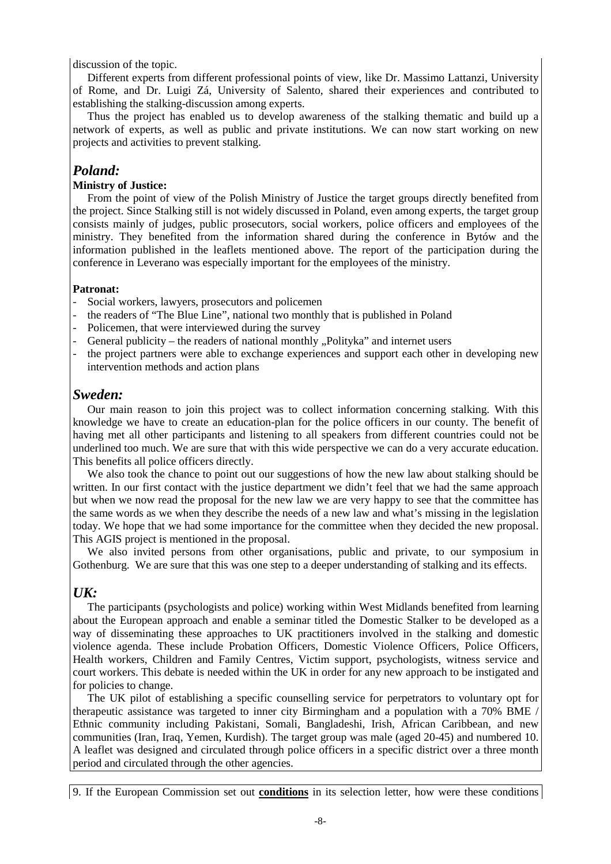discussion of the topic.

Different experts from different professional points of view, like Dr. Massimo Lattanzi, University of Rome, and Dr. Luigi Zá, University of Salento, shared their experiences and contributed to establishing the stalking-discussion among experts.

Thus the project has enabled us to develop awareness of the stalking thematic and build up a network of experts, as well as public and private institutions. We can now start working on new projects and activities to prevent stalking.

### *Poland:*

#### **Ministry of Justice:**

 From the point of view of the Polish Ministry of Justice the target groups directly benefited from the project. Since Stalking still is not widely discussed in Poland, even among experts, the target group consists mainly of judges, public prosecutors, social workers, police officers and employees of the ministry. They benefited from the information shared during the conference in Bytów and the information published in the leaflets mentioned above. The report of the participation during the conference in Leverano was especially important for the employees of the ministry.

#### **Patronat:**

- Social workers, lawyers, prosecutors and policemen
- the readers of "The Blue Line", national two monthly that is published in Poland
- Policemen, that were interviewed during the survey
- General publicity the readers of national monthly "Polityka" and internet users
- the project partners were able to exchange experiences and support each other in developing new intervention methods and action plans

### *Sweden:*

Our main reason to join this project was to collect information concerning stalking. With this knowledge we have to create an education-plan for the police officers in our county. The benefit of having met all other participants and listening to all speakers from different countries could not be underlined too much. We are sure that with this wide perspective we can do a very accurate education. This benefits all police officers directly.

We also took the chance to point out our suggestions of how the new law about stalking should be written. In our first contact with the justice department we didn't feel that we had the same approach but when we now read the proposal for the new law we are very happy to see that the committee has the same words as we when they describe the needs of a new law and what's missing in the legislation today. We hope that we had some importance for the committee when they decided the new proposal. This AGIS project is mentioned in the proposal.

We also invited persons from other organisations, public and private, to our symposium in Gothenburg. We are sure that this was one step to a deeper understanding of stalking and its effects.

### *UK:*

The participants (psychologists and police) working within West Midlands benefited from learning about the European approach and enable a seminar titled the Domestic Stalker to be developed as a way of disseminating these approaches to UK practitioners involved in the stalking and domestic violence agenda. These include Probation Officers, Domestic Violence Officers, Police Officers, Health workers, Children and Family Centres, Victim support, psychologists, witness service and court workers. This debate is needed within the UK in order for any new approach to be instigated and for policies to change.

The UK pilot of establishing a specific counselling service for perpetrators to voluntary opt for therapeutic assistance was targeted to inner city Birmingham and a population with a 70% BME / Ethnic community including Pakistani, Somali, Bangladeshi, Irish, African Caribbean, and new communities (Iran, Iraq, Yemen, Kurdish). The target group was male (aged 20-45) and numbered 10. A leaflet was designed and circulated through police officers in a specific district over a three month period and circulated through the other agencies.

9. If the European Commission set out **conditions** in its selection letter, how were these conditions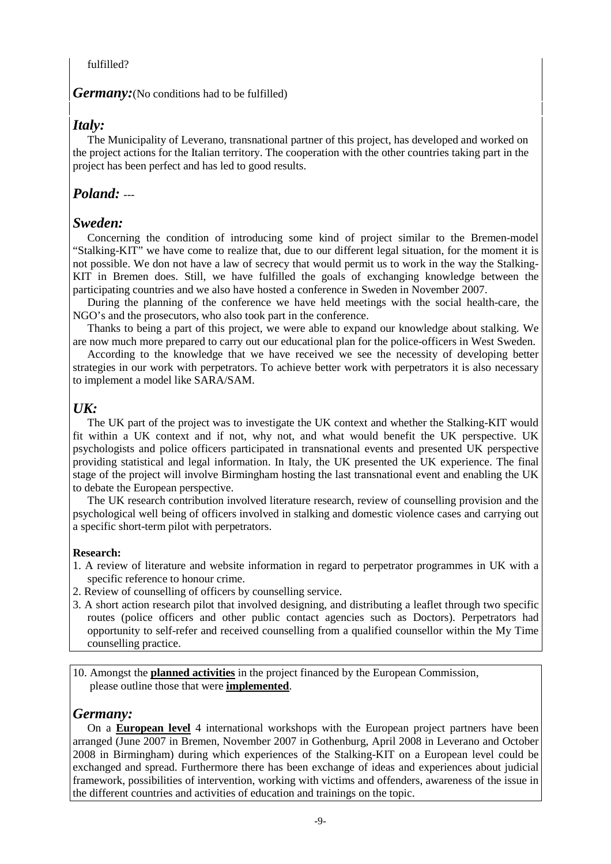#### fulfilled?

*Germany:*(No conditions had to be fulfilled)

### *Italy:*

The Municipality of Leverano, transnational partner of this project, has developed and worked on the project actions for the Italian territory. The cooperation with the other countries taking part in the project has been perfect and has led to good results.

# *Poland:* ---

### *Sweden:*

Concerning the condition of introducing some kind of project similar to the Bremen-model "Stalking-KIT" we have come to realize that, due to our different legal situation, for the moment it is not possible. We don not have a law of secrecy that would permit us to work in the way the Stalking-KIT in Bremen does. Still, we have fulfilled the goals of exchanging knowledge between the participating countries and we also have hosted a conference in Sweden in November 2007.

During the planning of the conference we have held meetings with the social health-care, the NGO's and the prosecutors, who also took part in the conference.

Thanks to being a part of this project, we were able to expand our knowledge about stalking. We are now much more prepared to carry out our educational plan for the police-officers in West Sweden.

According to the knowledge that we have received we see the necessity of developing better strategies in our work with perpetrators. To achieve better work with perpetrators it is also necessary to implement a model like SARA/SAM.

# *UK:*

The UK part of the project was to investigate the UK context and whether the Stalking-KIT would fit within a UK context and if not, why not, and what would benefit the UK perspective. UK psychologists and police officers participated in transnational events and presented UK perspective providing statistical and legal information. In Italy, the UK presented the UK experience. The final stage of the project will involve Birmingham hosting the last transnational event and enabling the UK to debate the European perspective.

The UK research contribution involved literature research, review of counselling provision and the psychological well being of officers involved in stalking and domestic violence cases and carrying out a specific short-term pilot with perpetrators.

### **Research:**

- 1. A review of literature and website information in regard to perpetrator programmes in UK with a specific reference to honour crime.
- 2. Review of counselling of officers by counselling service.
- 3. A short action research pilot that involved designing, and distributing a leaflet through two specific routes (police officers and other public contact agencies such as Doctors). Perpetrators had opportunity to self-refer and received counselling from a qualified counsellor within the My Time counselling practice.

10. Amongst the **planned activities** in the project financed by the European Commission, please outline those that were **implemented**.

### *Germany:*

On a **European level** 4 international workshops with the European project partners have been arranged (June 2007 in Bremen, November 2007 in Gothenburg, April 2008 in Leverano and October 2008 in Birmingham) during which experiences of the Stalking-KIT on a European level could be exchanged and spread. Furthermore there has been exchange of ideas and experiences about judicial framework, possibilities of intervention, working with victims and offenders, awareness of the issue in the different countries and activities of education and trainings on the topic.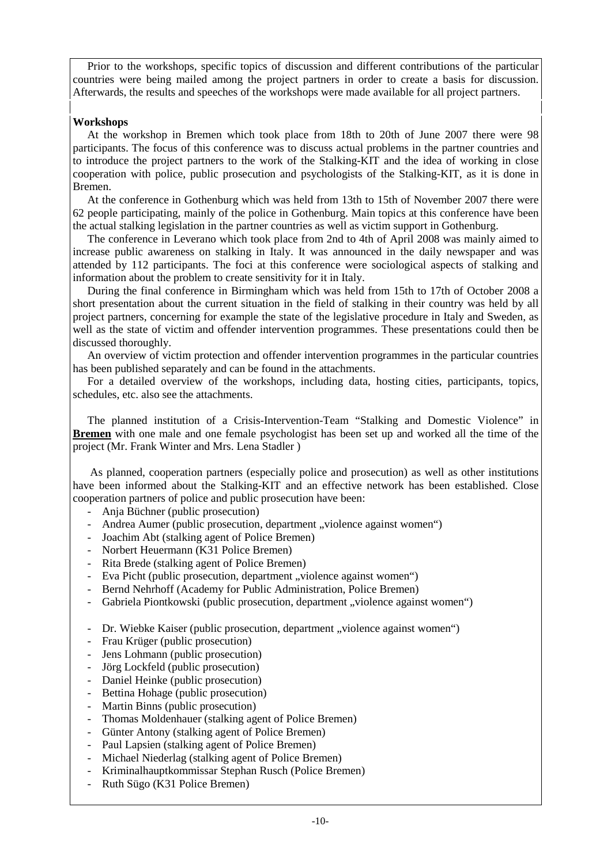Prior to the workshops, specific topics of discussion and different contributions of the particular countries were being mailed among the project partners in order to create a basis for discussion. Afterwards, the results and speeches of the workshops were made available for all project partners.

#### **Workshops**

At the workshop in Bremen which took place from 18th to 20th of June 2007 there were 98 participants. The focus of this conference was to discuss actual problems in the partner countries and to introduce the project partners to the work of the Stalking-KIT and the idea of working in close cooperation with police, public prosecution and psychologists of the Stalking-KIT, as it is done in Bremen.

At the conference in Gothenburg which was held from 13th to 15th of November 2007 there were 62 people participating, mainly of the police in Gothenburg. Main topics at this conference have been the actual stalking legislation in the partner countries as well as victim support in Gothenburg.

The conference in Leverano which took place from 2nd to 4th of April 2008 was mainly aimed to increase public awareness on stalking in Italy. It was announced in the daily newspaper and was attended by 112 participants. The foci at this conference were sociological aspects of stalking and information about the problem to create sensitivity for it in Italy.

During the final conference in Birmingham which was held from 15th to 17th of October 2008 a short presentation about the current situation in the field of stalking in their country was held by all project partners, concerning for example the state of the legislative procedure in Italy and Sweden, as well as the state of victim and offender intervention programmes. These presentations could then be discussed thoroughly.

An overview of victim protection and offender intervention programmes in the particular countries has been published separately and can be found in the attachments.

 For a detailed overview of the workshops, including data, hosting cities, participants, topics, schedules, etc. also see the attachments.

The planned institution of a Crisis-Intervention-Team "Stalking and Domestic Violence" in **Bremen** with one male and one female psychologist has been set up and worked all the time of the project (Mr. Frank Winter and Mrs. Lena Stadler )

 As planned, cooperation partners (especially police and prosecution) as well as other institutions have been informed about the Stalking-KIT and an effective network has been established. Close cooperation partners of police and public prosecution have been:

- Anja Büchner (public prosecution)
- Andrea Aumer (public prosecution, department "violence against women")
- Joachim Abt (stalking agent of Police Bremen)
- Norbert Heuermann (K31 Police Bremen)
- Rita Brede (stalking agent of Police Bremen)
- Eva Picht (public prosecution, department "violence against women")
- Bernd Nehrhoff (Academy for Public Administration, Police Bremen)
- Gabriela Piontkowski (public prosecution, department "violence against women")

- Dr. Wiebke Kaiser (public prosecution, department "violence against women")

- Frau Krüger (public prosecution)
- Jens Lohmann (public prosecution)
- Jörg Lockfeld (public prosecution)
- Daniel Heinke (public prosecution)
- Bettina Hohage (public prosecution)
- Martin Binns (public prosecution)
- Thomas Moldenhauer (stalking agent of Police Bremen)
- Günter Antony (stalking agent of Police Bremen)
- Paul Lapsien (stalking agent of Police Bremen)
- Michael Niederlag (stalking agent of Police Bremen)
- Kriminalhauptkommissar Stephan Rusch (Police Bremen)
- Ruth Sügo (K31 Police Bremen)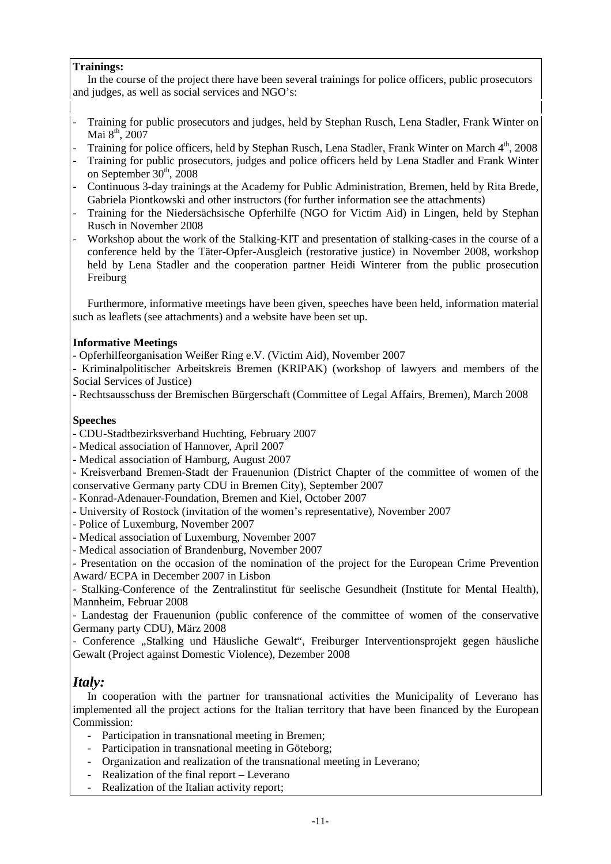#### **Trainings:**

In the course of the project there have been several trainings for police officers, public prosecutors and judges, as well as social services and NGO's:

- Training for public prosecutors and judges, held by Stephan Rusch, Lena Stadler, Frank Winter on Mai 8<sup>th</sup>, 2007
- Training for police officers, held by Stephan Rusch, Lena Stadler, Frank Winter on March 4<sup>th</sup>, 2008
- Training for public prosecutors, judges and police officers held by Lena Stadler and Frank Winter on September  $30<sup>th</sup>$ , 2008
- Continuous 3-day trainings at the Academy for Public Administration, Bremen, held by Rita Brede, Gabriela Piontkowski and other instructors (for further information see the attachments)
- Training for the Niedersächsische Opferhilfe (NGO for Victim Aid) in Lingen, held by Stephan Rusch in November 2008
- Workshop about the work of the Stalking-KIT and presentation of stalking-cases in the course of a conference held by the Täter-Opfer-Ausgleich (restorative justice) in November 2008, workshop held by Lena Stadler and the cooperation partner Heidi Winterer from the public prosecution Freiburg

Furthermore, informative meetings have been given, speeches have been held, information material such as leaflets (see attachments) and a website have been set up.

#### **Informative Meetings**

- Opferhilfeorganisation Weißer Ring e.V. (Victim Aid), November 2007
- Kriminalpolitischer Arbeitskreis Bremen (KRIPAK) (workshop of lawyers and members of the Social Services of Justice)
- Rechtsausschuss der Bremischen Bürgerschaft (Committee of Legal Affairs, Bremen), March 2008

### **Speeches**

- CDU-Stadtbezirksverband Huchting, February 2007
- Medical association of Hannover, April 2007
- Medical association of Hamburg, August 2007
- Kreisverband Bremen-Stadt der Frauenunion (District Chapter of the committee of women of the conservative Germany party CDU in Bremen City), September 2007
- Konrad-Adenauer-Foundation, Bremen and Kiel, October 2007
- University of Rostock (invitation of the women's representative), November 2007
- Police of Luxemburg, November 2007
- Medical association of Luxemburg, November 2007
- Medical association of Brandenburg, November 2007

- Presentation on the occasion of the nomination of the project for the European Crime Prevention Award/ ECPA in December 2007 in Lisbon

- Stalking-Conference of the Zentralinstitut für seelische Gesundheit (Institute for Mental Health), Mannheim, Februar 2008

- Landestag der Frauenunion (public conference of the committee of women of the conservative Germany party CDU), März 2008

- Conference "Stalking und Häusliche Gewalt", Freiburger Interventionsprojekt gegen häusliche Gewalt (Project against Domestic Violence), Dezember 2008

# *Italy:*

In cooperation with the partner for transnational activities the Municipality of Leverano has implemented all the project actions for the Italian territory that have been financed by the European Commission:

- Participation in transnational meeting in Bremen;
- Participation in transnational meeting in Göteborg;
- Organization and realization of the transnational meeting in Leverano;
- Realization of the final report Leverano
- Realization of the Italian activity report;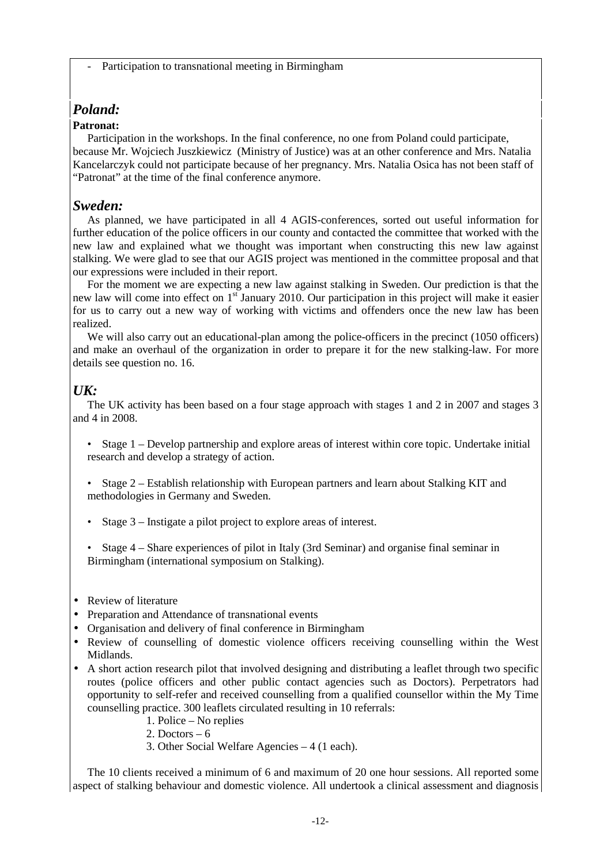Participation to transnational meeting in Birmingham

# *Poland:*

### **Patronat:**

Participation in the workshops. In the final conference, no one from Poland could participate, because Mr. Wojciech Juszkiewicz (Ministry of Justice) was at an other conference and Mrs. Natalia Kancelarczyk could not participate because of her pregnancy. Mrs. Natalia Osica has not been staff of "Patronat" at the time of the final conference anymore.

### *Sweden:*

As planned, we have participated in all 4 AGIS-conferences, sorted out useful information for further education of the police officers in our county and contacted the committee that worked with the new law and explained what we thought was important when constructing this new law against stalking. We were glad to see that our AGIS project was mentioned in the committee proposal and that our expressions were included in their report.

For the moment we are expecting a new law against stalking in Sweden. Our prediction is that the new law will come into effect on  $1<sup>st</sup>$  January 2010. Our participation in this project will make it easier for us to carry out a new way of working with victims and offenders once the new law has been realized.

We will also carry out an educational-plan among the police-officers in the precinct (1050 officers) and make an overhaul of the organization in order to prepare it for the new stalking-law. For more details see question no. 16.

# *UK:*

The UK activity has been based on a four stage approach with stages 1 and 2 in 2007 and stages 3 and 4 in 2008.

- Stage 1 Develop partnership and explore areas of interest within core topic. Undertake initial research and develop a strategy of action.
- Stage 2 Establish relationship with European partners and learn about Stalking KIT and methodologies in Germany and Sweden.
- Stage 3 Instigate a pilot project to explore areas of interest.
- Stage 4 Share experiences of pilot in Italy (3rd Seminar) and organise final seminar in Birmingham (international symposium on Stalking).
- Review of literature
- Preparation and Attendance of transnational events
- Organisation and delivery of final conference in Birmingham
- Review of counselling of domestic violence officers receiving counselling within the West Midlands.
- A short action research pilot that involved designing and distributing a leaflet through two specific routes (police officers and other public contact agencies such as Doctors). Perpetrators had opportunity to self-refer and received counselling from a qualified counsellor within the My Time counselling practice. 300 leaflets circulated resulting in 10 referrals:
	- 1. Police No replies
	- 2. Doctors  $-6$
	- 3. Other Social Welfare Agencies 4 (1 each).

The 10 clients received a minimum of 6 and maximum of 20 one hour sessions. All reported some aspect of stalking behaviour and domestic violence. All undertook a clinical assessment and diagnosis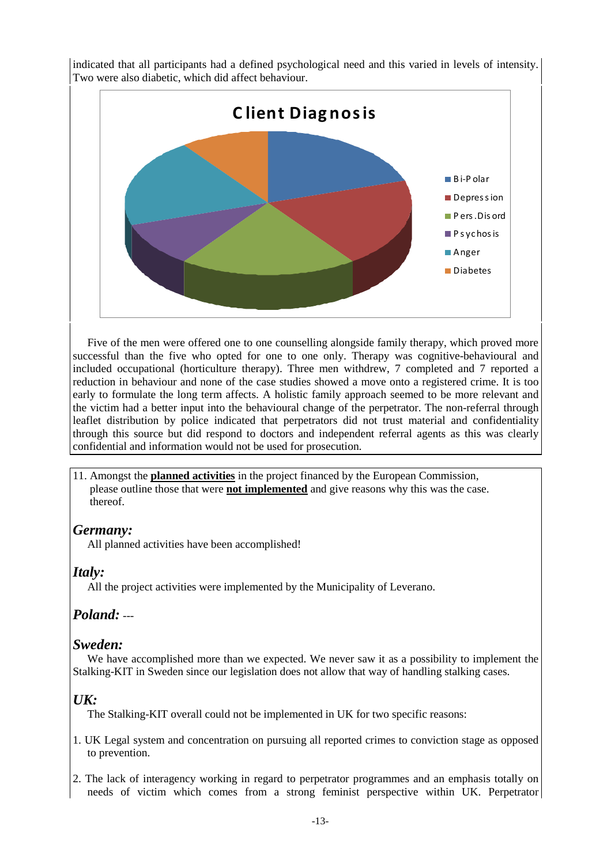

indicated that all participants had a defined psychological need and this varied in levels of intensity. Two were also diabetic, which did affect behaviour.

Five of the men were offered one to one counselling alongside family therapy, which proved more successful than the five who opted for one to one only. Therapy was cognitive-behavioural and included occupational (horticulture therapy). Three men withdrew, 7 completed and 7 reported a reduction in behaviour and none of the case studies showed a move onto a registered crime. It is too early to formulate the long term affects. A holistic family approach seemed to be more relevant and the victim had a better input into the behavioural change of the perpetrator. The non-referral through leaflet distribution by police indicated that perpetrators did not trust material and confidentiality through this source but did respond to doctors and independent referral agents as this was clearly confidential and information would not be used for prosecution.

11. Amongst the **planned activities** in the project financed by the European Commission, please outline those that were **not implemented** and give reasons why this was the case. thereof.

# *Germany:*

All planned activities have been accomplished!

# *Italy:*

All the project activities were implemented by the Municipality of Leverano.

# *Poland:* ---

# *Sweden:*

We have accomplished more than we expected. We never saw it as a possibility to implement the Stalking-KIT in Sweden since our legislation does not allow that way of handling stalking cases.

# *UK:*

The Stalking-KIT overall could not be implemented in UK for two specific reasons:

- 1. UK Legal system and concentration on pursuing all reported crimes to conviction stage as opposed to prevention.
- 2. The lack of interagency working in regard to perpetrator programmes and an emphasis totally on needs of victim which comes from a strong feminist perspective within UK. Perpetrator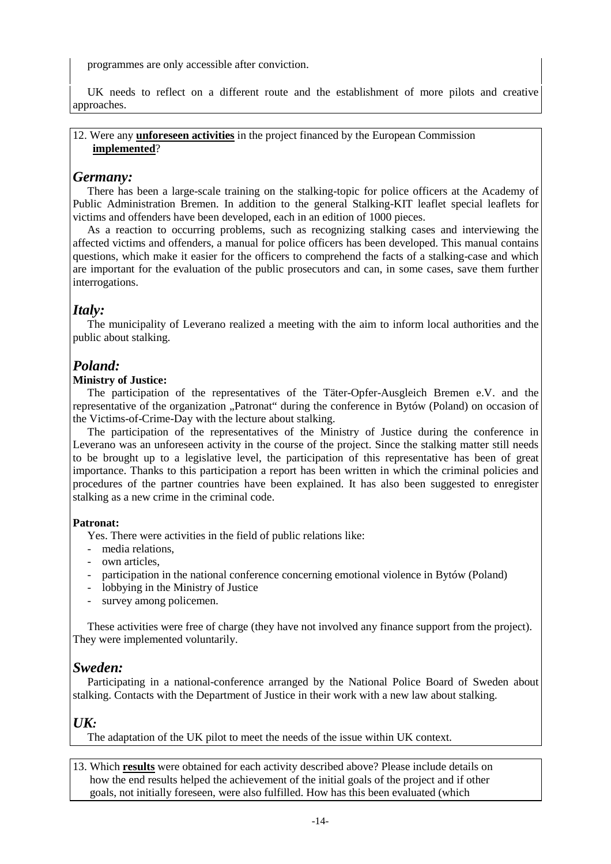programmes are only accessible after conviction.

UK needs to reflect on a different route and the establishment of more pilots and creative approaches.

#### 12. Were any **unforeseen activities** in the project financed by the European Commission **implemented**?

## *Germany:*

There has been a large-scale training on the stalking-topic for police officers at the Academy of Public Administration Bremen. In addition to the general Stalking-KIT leaflet special leaflets for victims and offenders have been developed, each in an edition of 1000 pieces.

As a reaction to occurring problems, such as recognizing stalking cases and interviewing the affected victims and offenders, a manual for police officers has been developed. This manual contains questions, which make it easier for the officers to comprehend the facts of a stalking-case and which are important for the evaluation of the public prosecutors and can, in some cases, save them further interrogations.

# *Italy:*

The municipality of Leverano realized a meeting with the aim to inform local authorities and the public about stalking.

# *Poland:*

### **Ministry of Justice:**

The participation of the representatives of the Täter-Opfer-Ausgleich Bremen e.V. and the representative of the organization "Patronat" during the conference in Bytów (Poland) on occasion of the Victims-of-Crime-Day with the lecture about stalking.

The participation of the representatives of the Ministry of Justice during the conference in Leverano was an unforeseen activity in the course of the project. Since the stalking matter still needs to be brought up to a legislative level, the participation of this representative has been of great importance. Thanks to this participation a report has been written in which the criminal policies and procedures of the partner countries have been explained. It has also been suggested to enregister stalking as a new crime in the criminal code.

#### **Patronat:**

Yes. There were activities in the field of public relations like:

- media relations,
- own articles,
- participation in the national conference concerning emotional violence in Bytów (Poland)
- lobbying in the Ministry of Justice
- survey among policemen.

These activities were free of charge (they have not involved any finance support from the project). They were implemented voluntarily.

### *Sweden:*

Participating in a national-conference arranged by the National Police Board of Sweden about stalking. Contacts with the Department of Justice in their work with a new law about stalking.

### *UK:*

The adaptation of the UK pilot to meet the needs of the issue within UK context.

13. Which **results** were obtained for each activity described above? Please include details on how the end results helped the achievement of the initial goals of the project and if other goals, not initially foreseen, were also fulfilled. How has this been evaluated (which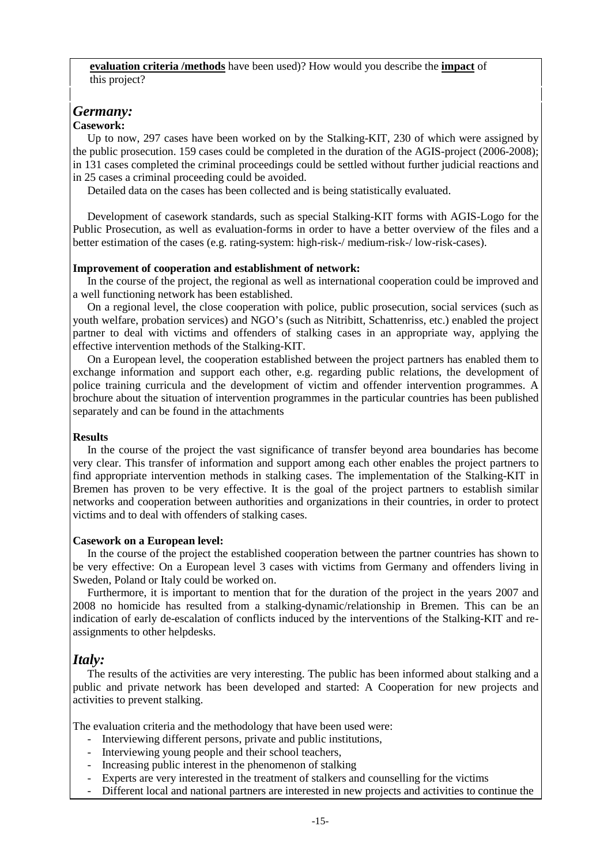#### **evaluation criteria /methods** have been used)? How would you describe the **impact** of this project?

# *Germany:*

### **Casework:**

Up to now, 297 cases have been worked on by the Stalking-KIT, 230 of which were assigned by the public prosecution. 159 cases could be completed in the duration of the AGIS-project (2006-2008); in 131 cases completed the criminal proceedings could be settled without further judicial reactions and in 25 cases a criminal proceeding could be avoided.

Detailed data on the cases has been collected and is being statistically evaluated.

Development of casework standards, such as special Stalking-KIT forms with AGIS-Logo for the Public Prosecution, as well as evaluation-forms in order to have a better overview of the files and a better estimation of the cases (e.g. rating-system: high-risk-/ medium-risk-/ low-risk-cases).

#### **Improvement of cooperation and establishment of network:**

In the course of the project, the regional as well as international cooperation could be improved and a well functioning network has been established.

On a regional level, the close cooperation with police, public prosecution, social services (such as youth welfare, probation services) and NGO's (such as Nitribitt, Schattenriss, etc.) enabled the project partner to deal with victims and offenders of stalking cases in an appropriate way, applying the effective intervention methods of the Stalking-KIT.

On a European level, the cooperation established between the project partners has enabled them to exchange information and support each other, e.g. regarding public relations, the development of police training curricula and the development of victim and offender intervention programmes. A brochure about the situation of intervention programmes in the particular countries has been published separately and can be found in the attachments

#### **Results**

In the course of the project the vast significance of transfer beyond area boundaries has become very clear. This transfer of information and support among each other enables the project partners to find appropriate intervention methods in stalking cases. The implementation of the Stalking-KIT in Bremen has proven to be very effective. It is the goal of the project partners to establish similar networks and cooperation between authorities and organizations in their countries, in order to protect victims and to deal with offenders of stalking cases.

#### **Casework on a European level:**

In the course of the project the established cooperation between the partner countries has shown to be very effective: On a European level 3 cases with victims from Germany and offenders living in Sweden, Poland or Italy could be worked on.

Furthermore, it is important to mention that for the duration of the project in the years 2007 and 2008 no homicide has resulted from a stalking-dynamic/relationship in Bremen. This can be an indication of early de-escalation of conflicts induced by the interventions of the Stalking-KIT and reassignments to other helpdesks.

### *Italy:*

The results of the activities are very interesting. The public has been informed about stalking and a public and private network has been developed and started: A Cooperation for new projects and activities to prevent stalking.

The evaluation criteria and the methodology that have been used were:

- Interviewing different persons, private and public institutions,
- Interviewing young people and their school teachers,
- Increasing public interest in the phenomenon of stalking
- Experts are very interested in the treatment of stalkers and counselling for the victims
- Different local and national partners are interested in new projects and activities to continue the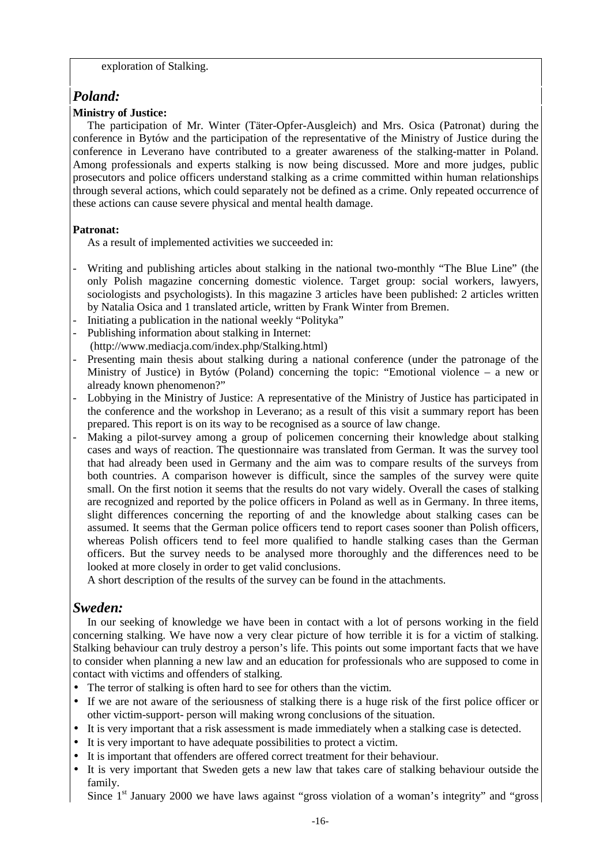#### exploration of Stalking.

# *Poland:*

### **Ministry of Justice:**

The participation of Mr. Winter (Täter-Opfer-Ausgleich) and Mrs. Osica (Patronat) during the conference in Bytów and the participation of the representative of the Ministry of Justice during the conference in Leverano have contributed to a greater awareness of the stalking-matter in Poland. Among professionals and experts stalking is now being discussed. More and more judges, public prosecutors and police officers understand stalking as a crime committed within human relationships through several actions, which could separately not be defined as a crime. Only repeated occurrence of these actions can cause severe physical and mental health damage.

### **Patronat:**

As a result of implemented activities we succeeded in:

- Writing and publishing articles about stalking in the national two-monthly "The Blue Line" (the only Polish magazine concerning domestic violence. Target group: social workers, lawyers, sociologists and psychologists). In this magazine 3 articles have been published: 2 articles written by Natalia Osica and 1 translated article, written by Frank Winter from Bremen.
- Initiating a publication in the national weekly "Polityka"
- Publishing information about stalking in Internet:
- (http://www.mediacja.com/index.php/Stalking.html)
- Presenting main thesis about stalking during a national conference (under the patronage of the Ministry of Justice) in Bytów (Poland) concerning the topic: "Emotional violence – a new or already known phenomenon?"
- Lobbying in the Ministry of Justice: A representative of the Ministry of Justice has participated in the conference and the workshop in Leverano; as a result of this visit a summary report has been prepared. This report is on its way to be recognised as a source of law change.
- Making a pilot-survey among a group of policemen concerning their knowledge about stalking cases and ways of reaction. The questionnaire was translated from German. It was the survey tool that had already been used in Germany and the aim was to compare results of the surveys from both countries. A comparison however is difficult, since the samples of the survey were quite small. On the first notion it seems that the results do not vary widely. Overall the cases of stalking are recognized and reported by the police officers in Poland as well as in Germany. In three items, slight differences concerning the reporting of and the knowledge about stalking cases can be assumed. It seems that the German police officers tend to report cases sooner than Polish officers, whereas Polish officers tend to feel more qualified to handle stalking cases than the German officers. But the survey needs to be analysed more thoroughly and the differences need to be looked at more closely in order to get valid conclusions.

A short description of the results of the survey can be found in the attachments.

### *Sweden:*

In our seeking of knowledge we have been in contact with a lot of persons working in the field concerning stalking. We have now a very clear picture of how terrible it is for a victim of stalking. Stalking behaviour can truly destroy a person's life. This points out some important facts that we have to consider when planning a new law and an education for professionals who are supposed to come in contact with victims and offenders of stalking.

- The terror of stalking is often hard to see for others than the victim.
- If we are not aware of the seriousness of stalking there is a huge risk of the first police officer or other victim-support- person will making wrong conclusions of the situation.
- It is very important that a risk assessment is made immediately when a stalking case is detected.
- It is very important to have adequate possibilities to protect a victim.
- It is important that offenders are offered correct treatment for their behaviour.
- It is very important that Sweden gets a new law that takes care of stalking behaviour outside the family.

Since  $1<sup>st</sup>$  January 2000 we have laws against "gross violation of a woman's integrity" and "gross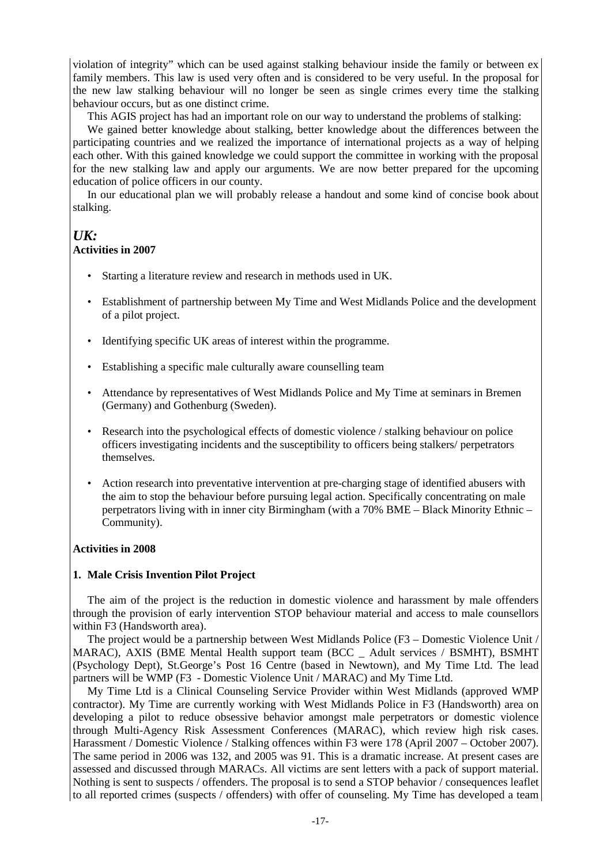violation of integrity" which can be used against stalking behaviour inside the family or between ex family members. This law is used very often and is considered to be very useful. In the proposal for the new law stalking behaviour will no longer be seen as single crimes every time the stalking behaviour occurs, but as one distinct crime.

This AGIS project has had an important role on our way to understand the problems of stalking:

We gained better knowledge about stalking, better knowledge about the differences between the participating countries and we realized the importance of international projects as a way of helping each other. With this gained knowledge we could support the committee in working with the proposal for the new stalking law and apply our arguments. We are now better prepared for the upcoming education of police officers in our county.

In our educational plan we will probably release a handout and some kind of concise book about stalking.

### *UK:*

#### **Activities in 2007**

- Starting a literature review and research in methods used in UK.
- Establishment of partnership between My Time and West Midlands Police and the development of a pilot project.
- Identifying specific UK areas of interest within the programme.
- Establishing a specific male culturally aware counselling team
- Attendance by representatives of West Midlands Police and My Time at seminars in Bremen (Germany) and Gothenburg (Sweden).
- Research into the psychological effects of domestic violence / stalking behaviour on police officers investigating incidents and the susceptibility to officers being stalkers/ perpetrators themselves.
- Action research into preventative intervention at pre-charging stage of identified abusers with the aim to stop the behaviour before pursuing legal action. Specifically concentrating on male perpetrators living with in inner city Birmingham (with a 70% BME – Black Minority Ethnic – Community).

#### **Activities in 2008**

#### **1. Male Crisis Invention Pilot Project**

The aim of the project is the reduction in domestic violence and harassment by male offenders through the provision of early intervention STOP behaviour material and access to male counsellors within F3 (Handsworth area).

The project would be a partnership between West Midlands Police (F3 – Domestic Violence Unit / MARAC), AXIS (BME Mental Health support team (BCC \_ Adult services / BSMHT), BSMHT (Psychology Dept), St.George's Post 16 Centre (based in Newtown), and My Time Ltd. The lead partners will be WMP (F3 - Domestic Violence Unit / MARAC) and My Time Ltd.

My Time Ltd is a Clinical Counseling Service Provider within West Midlands (approved WMP contractor). My Time are currently working with West Midlands Police in F3 (Handsworth) area on developing a pilot to reduce obsessive behavior amongst male perpetrators or domestic violence through Multi-Agency Risk Assessment Conferences (MARAC), which review high risk cases. Harassment / Domestic Violence / Stalking offences within F3 were 178 (April 2007 – October 2007). The same period in 2006 was 132, and 2005 was 91. This is a dramatic increase. At present cases are assessed and discussed through MARACs. All victims are sent letters with a pack of support material. Nothing is sent to suspects / offenders. The proposal is to send a STOP behavior / consequences leaflet to all reported crimes (suspects / offenders) with offer of counseling. My Time has developed a team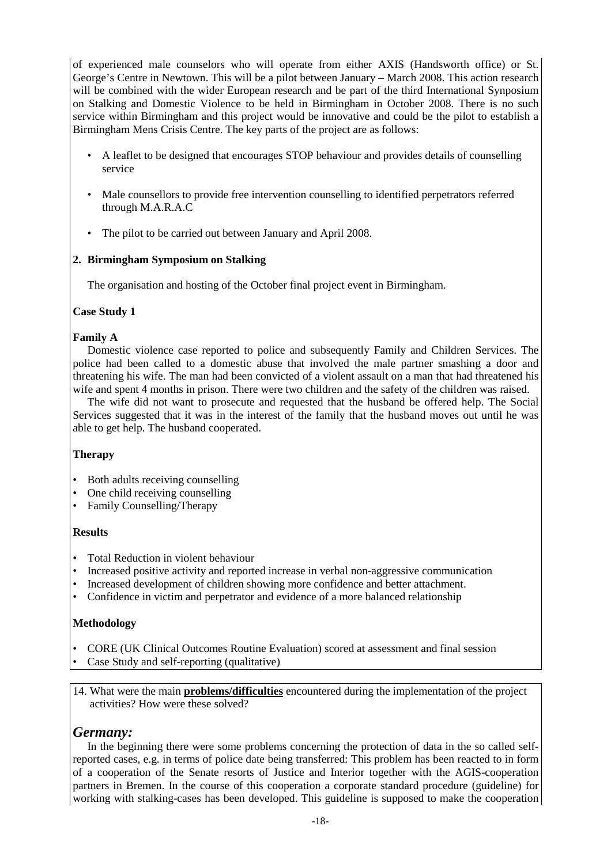of experienced male counselors who will operate from either AXIS (Handsworth office) or St. George's Centre in Newtown. This will be a pilot between January – March 2008. This action research will be combined with the wider European research and be part of the third International Synposium on Stalking and Domestic Violence to be held in Birmingham in October 2008. There is no such service within Birmingham and this project would be innovative and could be the pilot to establish a Birmingham Mens Crisis Centre. The key parts of the project are as follows:

- A leaflet to be designed that encourages STOP behaviour and provides details of counselling service
- Male counsellors to provide free intervention counselling to identified perpetrators referred through M.A.R.A.C
- The pilot to be carried out between January and April 2008.

#### **2. Birmingham Symposium on Stalking**

The organisation and hosting of the October final project event in Birmingham.

#### **Case Study 1**

#### **Family A**

Domestic violence case reported to police and subsequently Family and Children Services. The police had been called to a domestic abuse that involved the male partner smashing a door and threatening his wife. The man had been convicted of a violent assault on a man that had threatened his wife and spent 4 months in prison. There were two children and the safety of the children was raised.

The wife did not want to prosecute and requested that the husband be offered help. The Social Services suggested that it was in the interest of the family that the husband moves out until he was able to get help. The husband cooperated.

#### **Therapy**

- Both adults receiving counselling
- One child receiving counselling
- Family Counselling/Therapy

#### **Results**

- Total Reduction in violent behaviour
- Increased positive activity and reported increase in verbal non-aggressive communication
- Increased development of children showing more confidence and better attachment.
- Confidence in victim and perpetrator and evidence of a more balanced relationship

#### **Methodology**

- CORE (UK Clinical Outcomes Routine Evaluation) scored at assessment and final session
- Case Study and self-reporting (qualitative)

14. What were the main **problems/difficulties** encountered during the implementation of the project activities? How were these solved?

### *Germany:*

In the beginning there were some problems concerning the protection of data in the so called selfreported cases, e.g. in terms of police date being transferred: This problem has been reacted to in form of a cooperation of the Senate resorts of Justice and Interior together with the AGIS-cooperation partners in Bremen. In the course of this cooperation a corporate standard procedure (guideline) for working with stalking-cases has been developed. This guideline is supposed to make the cooperation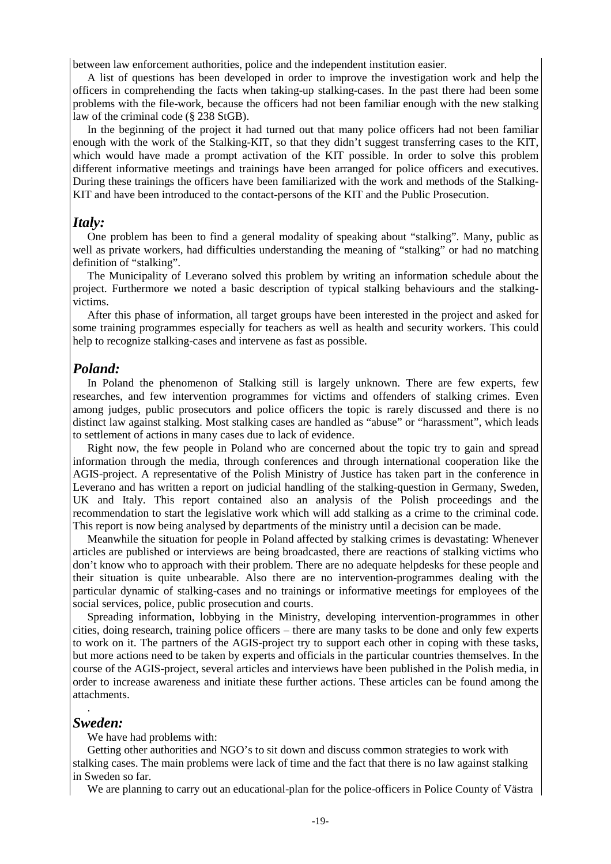between law enforcement authorities, police and the independent institution easier.

A list of questions has been developed in order to improve the investigation work and help the officers in comprehending the facts when taking-up stalking-cases. In the past there had been some problems with the file-work, because the officers had not been familiar enough with the new stalking law of the criminal code (§ 238 StGB).

In the beginning of the project it had turned out that many police officers had not been familiar enough with the work of the Stalking-KIT, so that they didn't suggest transferring cases to the KIT, which would have made a prompt activation of the KIT possible. In order to solve this problem different informative meetings and trainings have been arranged for police officers and executives. During these trainings the officers have been familiarized with the work and methods of the Stalking-KIT and have been introduced to the contact-persons of the KIT and the Public Prosecution.

#### *Italy:*

One problem has been to find a general modality of speaking about "stalking". Many, public as well as private workers, had difficulties understanding the meaning of "stalking" or had no matching definition of "stalking".

The Municipality of Leverano solved this problem by writing an information schedule about the project. Furthermore we noted a basic description of typical stalking behaviours and the stalkingvictims.

After this phase of information, all target groups have been interested in the project and asked for some training programmes especially for teachers as well as health and security workers. This could help to recognize stalking-cases and intervene as fast as possible.

#### *Poland:*

In Poland the phenomenon of Stalking still is largely unknown. There are few experts, few researches, and few intervention programmes for victims and offenders of stalking crimes. Even among judges, public prosecutors and police officers the topic is rarely discussed and there is no distinct law against stalking. Most stalking cases are handled as "abuse" or "harassment", which leads to settlement of actions in many cases due to lack of evidence.

Right now, the few people in Poland who are concerned about the topic try to gain and spread information through the media, through conferences and through international cooperation like the AGIS-project. A representative of the Polish Ministry of Justice has taken part in the conference in Leverano and has written a report on judicial handling of the stalking-question in Germany, Sweden, UK and Italy. This report contained also an analysis of the Polish proceedings and the recommendation to start the legislative work which will add stalking as a crime to the criminal code. This report is now being analysed by departments of the ministry until a decision can be made.

Meanwhile the situation for people in Poland affected by stalking crimes is devastating: Whenever articles are published or interviews are being broadcasted, there are reactions of stalking victims who don't know who to approach with their problem. There are no adequate helpdesks for these people and their situation is quite unbearable. Also there are no intervention-programmes dealing with the particular dynamic of stalking-cases and no trainings or informative meetings for employees of the social services, police, public prosecution and courts.

Spreading information, lobbying in the Ministry, developing intervention-programmes in other cities, doing research, training police officers – there are many tasks to be done and only few experts to work on it. The partners of the AGIS-project try to support each other in coping with these tasks, but more actions need to be taken by experts and officials in the particular countries themselves. In the course of the AGIS-project, several articles and interviews have been published in the Polish media, in order to increase awareness and initiate these further actions. These articles can be found among the attachments.

#### *Sweden:*

.

We have had problems with:

Getting other authorities and NGO's to sit down and discuss common strategies to work with stalking cases. The main problems were lack of time and the fact that there is no law against stalking in Sweden so far.

We are planning to carry out an educational-plan for the police-officers in Police County of Västra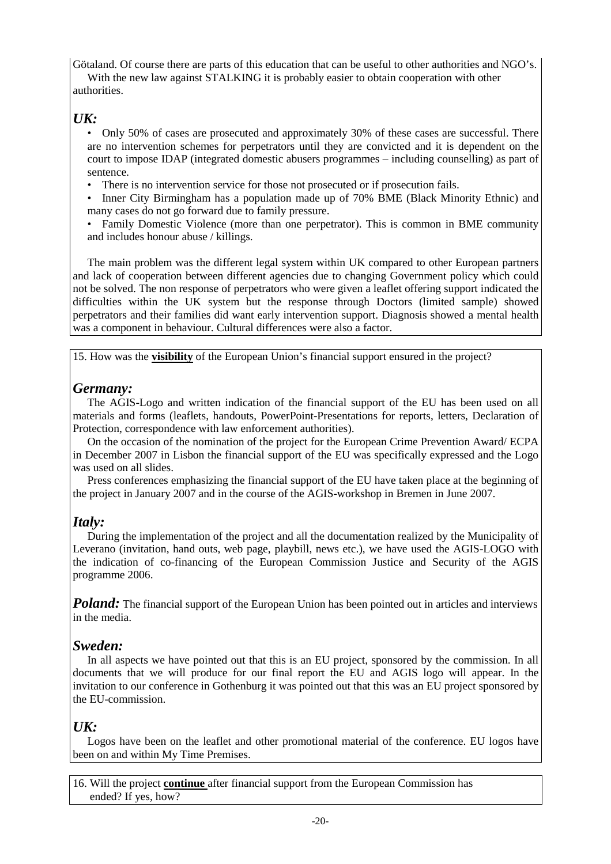Götaland. Of course there are parts of this education that can be useful to other authorities and NGO's.

With the new law against STALKING it is probably easier to obtain cooperation with other authorities.

# *UK:*

 • Only 50% of cases are prosecuted and approximately 30% of these cases are successful. There are no intervention schemes for perpetrators until they are convicted and it is dependent on the court to impose IDAP (integrated domestic abusers programmes – including counselling) as part of sentence.

- There is no intervention service for those not prosecuted or if prosecution fails.
- Inner City Birmingham has a population made up of 70% BME (Black Minority Ethnic) and many cases do not go forward due to family pressure.
- Family Domestic Violence (more than one perpetrator). This is common in BME community and includes honour abuse / killings.

The main problem was the different legal system within UK compared to other European partners and lack of cooperation between different agencies due to changing Government policy which could not be solved. The non response of perpetrators who were given a leaflet offering support indicated the difficulties within the UK system but the response through Doctors (limited sample) showed perpetrators and their families did want early intervention support. Diagnosis showed a mental health was a component in behaviour. Cultural differences were also a factor.

15. How was the **visibility** of the European Union's financial support ensured in the project?

# *Germany:*

The AGIS-Logo and written indication of the financial support of the EU has been used on all materials and forms (leaflets, handouts, PowerPoint-Presentations for reports, letters, Declaration of Protection, correspondence with law enforcement authorities).

On the occasion of the nomination of the project for the European Crime Prevention Award/ ECPA in December 2007 in Lisbon the financial support of the EU was specifically expressed and the Logo was used on all slides.

Press conferences emphasizing the financial support of the EU have taken place at the beginning of the project in January 2007 and in the course of the AGIS-workshop in Bremen in June 2007.

# *Italy:*

During the implementation of the project and all the documentation realized by the Municipality of Leverano (invitation, hand outs, web page, playbill, news etc.), we have used the AGIS-LOGO with the indication of co-financing of the European Commission Justice and Security of the AGIS programme 2006.

*Poland:* The financial support of the European Union has been pointed out in articles and interviews in the media.

# *Sweden:*

In all aspects we have pointed out that this is an EU project, sponsored by the commission. In all documents that we will produce for our final report the EU and AGIS logo will appear. In the invitation to our conference in Gothenburg it was pointed out that this was an EU project sponsored by the EU-commission.

# *UK:*

Logos have been on the leaflet and other promotional material of the conference. EU logos have been on and within My Time Premises.

16. Will the project **continue** after financial support from the European Commission has ended? If yes, how?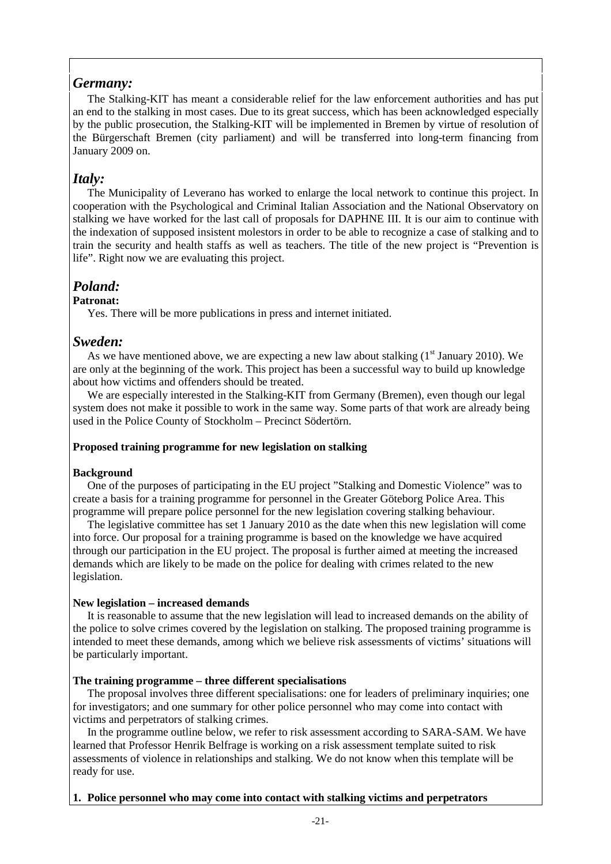# *Germany:*

The Stalking-KIT has meant a considerable relief for the law enforcement authorities and has put an end to the stalking in most cases. Due to its great success, which has been acknowledged especially by the public prosecution, the Stalking-KIT will be implemented in Bremen by virtue of resolution of the Bürgerschaft Bremen (city parliament) and will be transferred into long-term financing from January 2009 on.

# *Italy:*

The Municipality of Leverano has worked to enlarge the local network to continue this project. In cooperation with the Psychological and Criminal Italian Association and the National Observatory on stalking we have worked for the last call of proposals for DAPHNE III. It is our aim to continue with the indexation of supposed insistent molestors in order to be able to recognize a case of stalking and to train the security and health staffs as well as teachers. The title of the new project is "Prevention is life". Right now we are evaluating this project.

# *Poland:*

### **Patronat:**

Yes. There will be more publications in press and internet initiated.

### *Sweden:*

As we have mentioned above, we are expecting a new law about stalking  $(1<sup>st</sup> January 2010)$ . We are only at the beginning of the work. This project has been a successful way to build up knowledge about how victims and offenders should be treated.

We are especially interested in the Stalking-KIT from Germany (Bremen), even though our legal system does not make it possible to work in the same way. Some parts of that work are already being used in the Police County of Stockholm – Precinct Södertörn.

#### **Proposed training programme for new legislation on stalking**

#### **Background**

One of the purposes of participating in the EU project "Stalking and Domestic Violence" was to create a basis for a training programme for personnel in the Greater Göteborg Police Area. This programme will prepare police personnel for the new legislation covering stalking behaviour.

The legislative committee has set 1 January 2010 as the date when this new legislation will come into force. Our proposal for a training programme is based on the knowledge we have acquired through our participation in the EU project. The proposal is further aimed at meeting the increased demands which are likely to be made on the police for dealing with crimes related to the new legislation.

#### **New legislation – increased demands**

It is reasonable to assume that the new legislation will lead to increased demands on the ability of the police to solve crimes covered by the legislation on stalking. The proposed training programme is intended to meet these demands, among which we believe risk assessments of victims' situations will be particularly important.

#### **The training programme – three different specialisations**

The proposal involves three different specialisations: one for leaders of preliminary inquiries; one for investigators; and one summary for other police personnel who may come into contact with victims and perpetrators of stalking crimes.

In the programme outline below, we refer to risk assessment according to SARA-SAM. We have learned that Professor Henrik Belfrage is working on a risk assessment template suited to risk assessments of violence in relationships and stalking. We do not know when this template will be ready for use.

#### **1. Police personnel who may come into contact with stalking victims and perpetrators**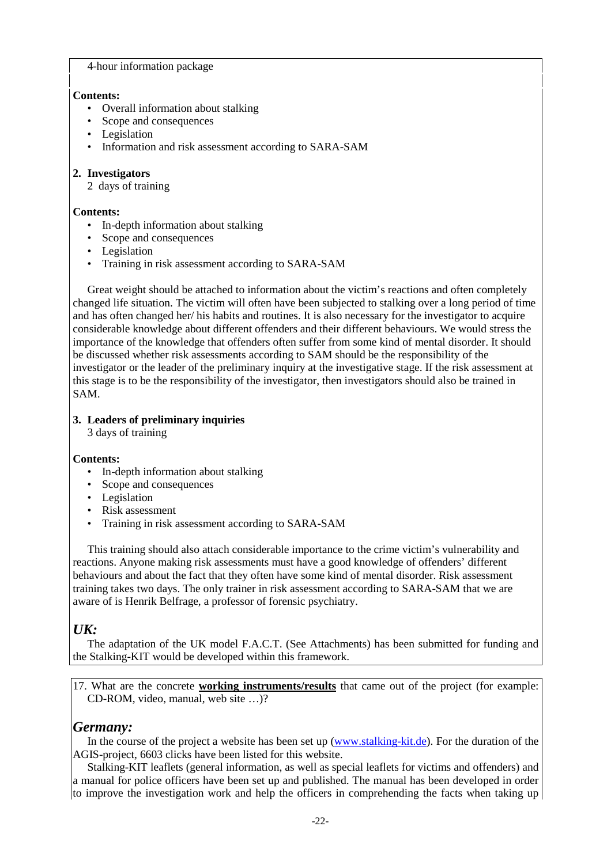#### 4-hour information package

#### **Contents:**

- Overall information about stalking
- Scope and consequences
- Legislation
- Information and risk assessment according to SARA-SAM

#### **2. Investigators**

2 days of training

#### **Contents:**

- In-depth information about stalking
- Scope and consequences
- Legislation
- Training in risk assessment according to SARA-SAM

Great weight should be attached to information about the victim's reactions and often completely changed life situation. The victim will often have been subjected to stalking over a long period of time and has often changed her/ his habits and routines. It is also necessary for the investigator to acquire considerable knowledge about different offenders and their different behaviours. We would stress the importance of the knowledge that offenders often suffer from some kind of mental disorder. It should be discussed whether risk assessments according to SAM should be the responsibility of the investigator or the leader of the preliminary inquiry at the investigative stage. If the risk assessment at this stage is to be the responsibility of the investigator, then investigators should also be trained in SAM.

### **3. Leaders of preliminary inquiries**

3 days of training

#### **Contents:**

- In-depth information about stalking
- Scope and consequences
- Legislation
- Risk assessment
- Training in risk assessment according to SARA-SAM

This training should also attach considerable importance to the crime victim's vulnerability and reactions. Anyone making risk assessments must have a good knowledge of offenders' different behaviours and about the fact that they often have some kind of mental disorder. Risk assessment training takes two days. The only trainer in risk assessment according to SARA-SAM that we are aware of is Henrik Belfrage, a professor of forensic psychiatry.

### *UK:*

The adaptation of the UK model F.A.C.T. (See Attachments) has been submitted for funding and the Stalking-KIT would be developed within this framework.

17. What are the concrete **working instruments/results** that came out of the project (for example: CD-ROM, video, manual, web site …)?

### *Germany:*

In the course of the project a website has been set up (www.stalking-kit.de). For the duration of the AGIS-project, 6603 clicks have been listed for this website.

Stalking-KIT leaflets (general information, as well as special leaflets for victims and offenders) and a manual for police officers have been set up and published. The manual has been developed in order to improve the investigation work and help the officers in comprehending the facts when taking up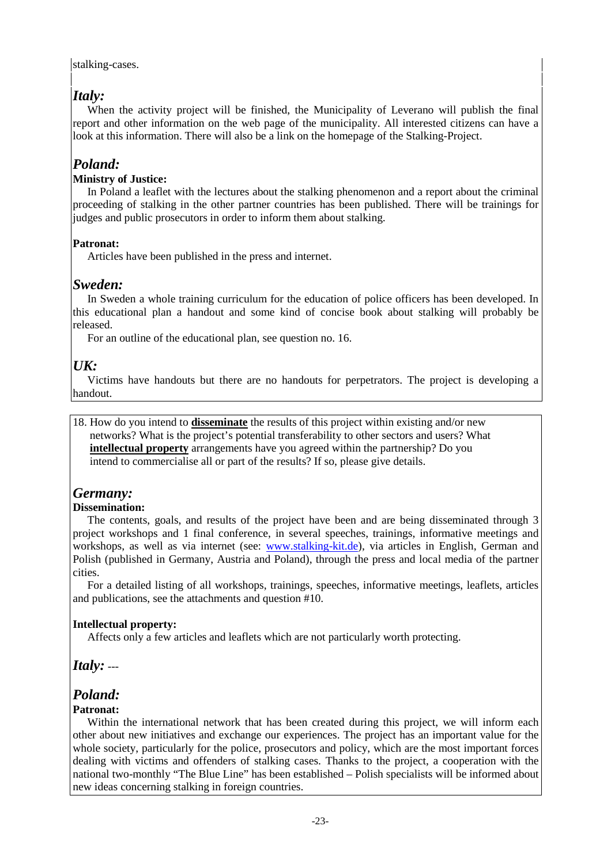#### stalking-cases.

# *Italy:*

When the activity project will be finished, the Municipality of Leverano will publish the final report and other information on the web page of the municipality. All interested citizens can have a look at this information. There will also be a link on the homepage of the Stalking-Project.

# *Poland:*

### **Ministry of Justice:**

In Poland a leaflet with the lectures about the stalking phenomenon and a report about the criminal proceeding of stalking in the other partner countries has been published. There will be trainings for judges and public prosecutors in order to inform them about stalking.

### **Patronat:**

Articles have been published in the press and internet.

# *Sweden:*

In Sweden a whole training curriculum for the education of police officers has been developed. In this educational plan a handout and some kind of concise book about stalking will probably be released.

For an outline of the educational plan, see question no. 16.

# *UK:*

Victims have handouts but there are no handouts for perpetrators. The project is developing a handout.

18. How do you intend to **disseminate** the results of this project within existing and/or new networks? What is the project's potential transferability to other sectors and users? What **intellectual property** arrangements have you agreed within the partnership? Do you intend to commercialise all or part of the results? If so, please give details.

### *Germany:*

#### **Dissemination:**

The contents, goals, and results of the project have been and are being disseminated through 3 project workshops and 1 final conference, in several speeches, trainings, informative meetings and workshops, as well as via internet (see: www.stalking-kit.de), via articles in English, German and Polish (published in Germany, Austria and Poland), through the press and local media of the partner cities.

For a detailed listing of all workshops, trainings, speeches, informative meetings, leaflets, articles and publications, see the attachments and question #10.

### **Intellectual property:**

Affects only a few articles and leaflets which are not particularly worth protecting.

*Italy:* ---

# *Poland:*

### **Patronat:**

Within the international network that has been created during this project, we will inform each other about new initiatives and exchange our experiences. The project has an important value for the whole society, particularly for the police, prosecutors and policy, which are the most important forces dealing with victims and offenders of stalking cases. Thanks to the project, a cooperation with the national two-monthly "The Blue Line" has been established – Polish specialists will be informed about new ideas concerning stalking in foreign countries.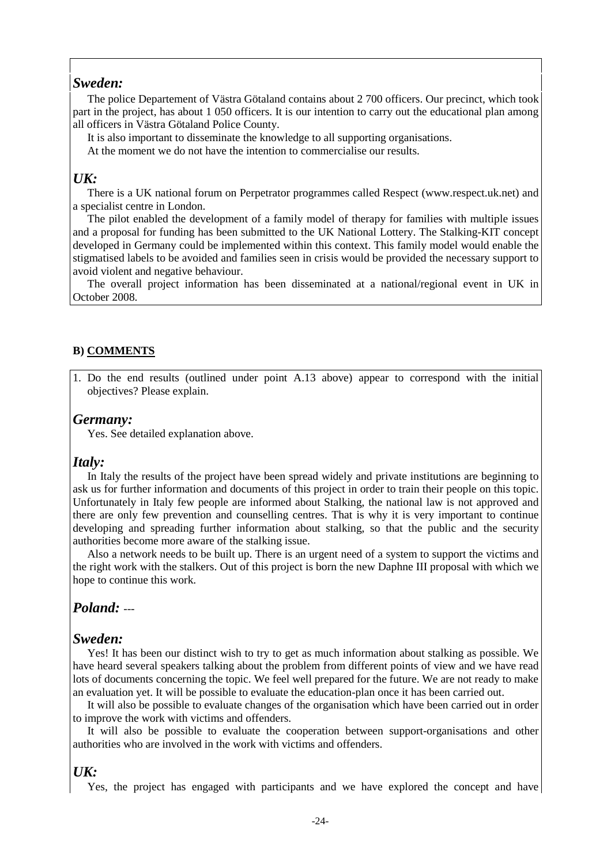### *Sweden:*

The police Departement of Västra Götaland contains about 2 700 officers. Our precinct, which took part in the project, has about 1 050 officers. It is our intention to carry out the educational plan among all officers in Västra Götaland Police County.

It is also important to disseminate the knowledge to all supporting organisations.

At the moment we do not have the intention to commercialise our results.

### *UK:*

There is a UK national forum on Perpetrator programmes called Respect (www.respect.uk.net) and a specialist centre in London.

The pilot enabled the development of a family model of therapy for families with multiple issues and a proposal for funding has been submitted to the UK National Lottery. The Stalking-KIT concept developed in Germany could be implemented within this context. This family model would enable the stigmatised labels to be avoided and families seen in crisis would be provided the necessary support to avoid violent and negative behaviour.

The overall project information has been disseminated at a national/regional event in UK in October 2008.

#### **B) COMMENTS**

1. Do the end results (outlined under point A.13 above) appear to correspond with the initial objectives? Please explain.

#### *Germany:*

Yes. See detailed explanation above.

#### *Italy:*

In Italy the results of the project have been spread widely and private institutions are beginning to ask us for further information and documents of this project in order to train their people on this topic. Unfortunately in Italy few people are informed about Stalking, the national law is not approved and there are only few prevention and counselling centres. That is why it is very important to continue developing and spreading further information about stalking, so that the public and the security authorities become more aware of the stalking issue.

Also a network needs to be built up. There is an urgent need of a system to support the victims and the right work with the stalkers. Out of this project is born the new Daphne III proposal with which we hope to continue this work.

#### *Poland:* ---

#### *Sweden:*

Yes! It has been our distinct wish to try to get as much information about stalking as possible. We have heard several speakers talking about the problem from different points of view and we have read lots of documents concerning the topic. We feel well prepared for the future. We are not ready to make an evaluation yet. It will be possible to evaluate the education-plan once it has been carried out.

It will also be possible to evaluate changes of the organisation which have been carried out in order to improve the work with victims and offenders.

It will also be possible to evaluate the cooperation between support-organisations and other authorities who are involved in the work with victims and offenders.

#### *UK:*

Yes, the project has engaged with participants and we have explored the concept and have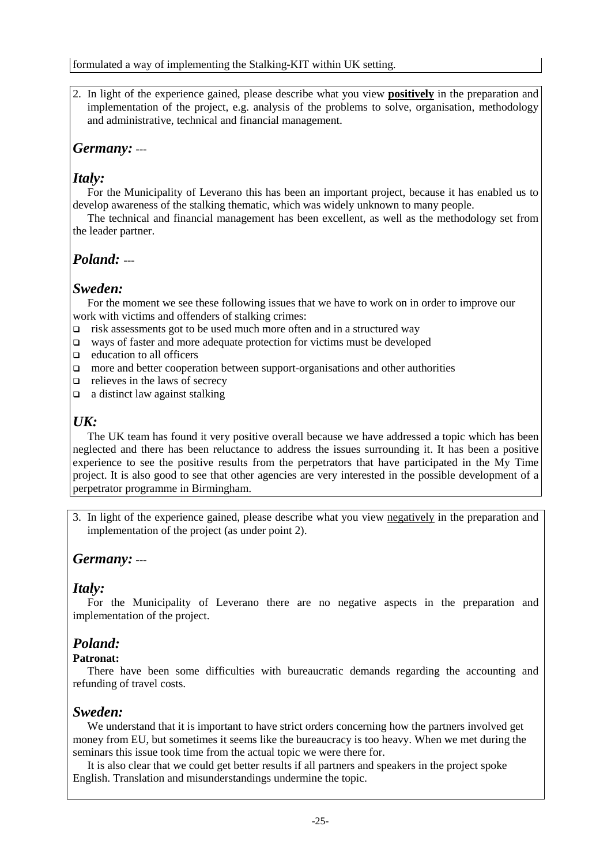2. In light of the experience gained, please describe what you view **positively** in the preparation and implementation of the project, e.g. analysis of the problems to solve, organisation, methodology and administrative, technical and financial management.

# *Germany:* ---

# *Italy:*

For the Municipality of Leverano this has been an important project, because it has enabled us to develop awareness of the stalking thematic, which was widely unknown to many people.

The technical and financial management has been excellent, as well as the methodology set from the leader partner.

# *Poland:* ---

### *Sweden:*

For the moment we see these following issues that we have to work on in order to improve our work with victims and offenders of stalking crimes:

- $\Box$  risk assessments got to be used much more often and in a structured way
- ways of faster and more adequate protection for victims must be developed
- $\Box$  education to all officers
- $\Box$  more and better cooperation between support-organisations and other authorities
- $\Box$  relieves in the laws of secrecy
- $\Box$  a distinct law against stalking

# *UK:*

The UK team has found it very positive overall because we have addressed a topic which has been neglected and there has been reluctance to address the issues surrounding it. It has been a positive experience to see the positive results from the perpetrators that have participated in the My Time project. It is also good to see that other agencies are very interested in the possible development of a perpetrator programme in Birmingham.

3. In light of the experience gained, please describe what you view negatively in the preparation and implementation of the project (as under point 2).

# *Germany:* ---

### *Italy:*

For the Municipality of Leverano there are no negative aspects in the preparation and implementation of the project.

# *Poland:*

### **Patronat:**

There have been some difficulties with bureaucratic demands regarding the accounting and refunding of travel costs.

# *Sweden:*

We understand that it is important to have strict orders concerning how the partners involved get money from EU, but sometimes it seems like the bureaucracy is too heavy. When we met during the seminars this issue took time from the actual topic we were there for.

It is also clear that we could get better results if all partners and speakers in the project spoke English. Translation and misunderstandings undermine the topic.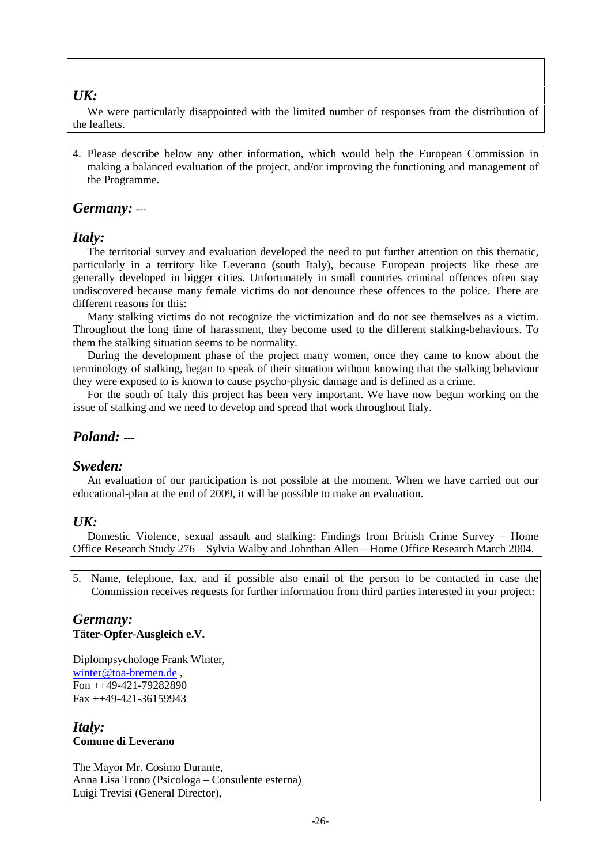### *UK:*

We were particularly disappointed with the limited number of responses from the distribution of the leaflets.

4. Please describe below any other information, which would help the European Commission in making a balanced evaluation of the project, and/or improving the functioning and management of the Programme.

### *Germany:* ---

### *Italy:*

The territorial survey and evaluation developed the need to put further attention on this thematic, particularly in a territory like Leverano (south Italy), because European projects like these are generally developed in bigger cities. Unfortunately in small countries criminal offences often stay undiscovered because many female victims do not denounce these offences to the police. There are different reasons for this:

Many stalking victims do not recognize the victimization and do not see themselves as a victim. Throughout the long time of harassment, they become used to the different stalking-behaviours. To them the stalking situation seems to be normality.

During the development phase of the project many women, once they came to know about the terminology of stalking, began to speak of their situation without knowing that the stalking behaviour they were exposed to is known to cause psycho-physic damage and is defined as a crime.

For the south of Italy this project has been very important. We have now begun working on the issue of stalking and we need to develop and spread that work throughout Italy.

## *Poland:* ---

### *Sweden:*

An evaluation of our participation is not possible at the moment. When we have carried out our educational-plan at the end of 2009, it will be possible to make an evaluation.

### $I/K$ :

Domestic Violence, sexual assault and stalking: Findings from British Crime Survey – Home Office Research Study 276 – Sylvia Walby and Johnthan Allen – Home Office Research March 2004.

5. Name, telephone, fax, and if possible also email of the person to be contacted in case the Commission receives requests for further information from third parties interested in your project:

### *Germany:*  **Täter-Opfer-Ausgleich e.V.**

Diplompsychologe Frank Winter, winter@toa-bremen.de , Fon ++49-421-79282890 Fax ++49-421-36159943

*Italy:*  **Comune di Leverano** 

The Mayor Mr. Cosimo Durante, Anna Lisa Trono (Psicologa – Consulente esterna) Luigi Trevisi (General Director),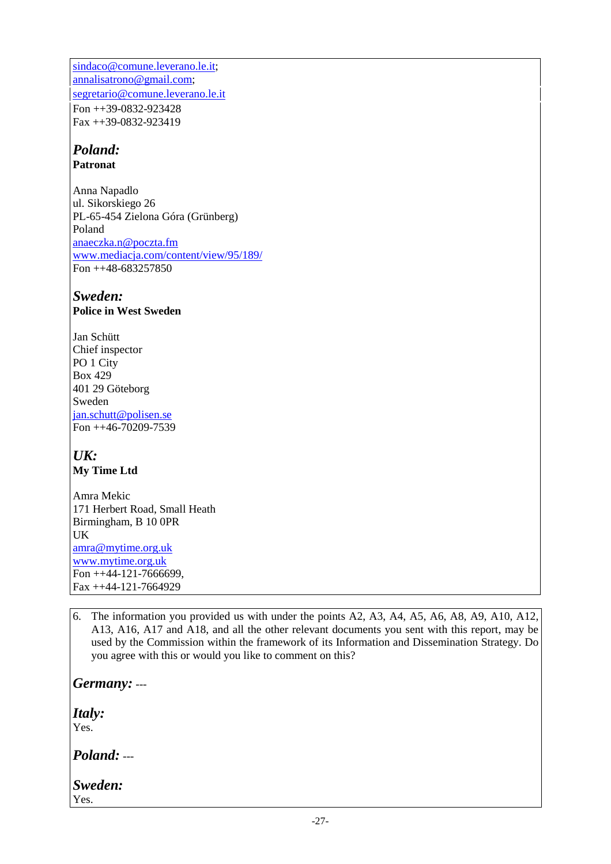sindaco@comune.leverano.le.it; annalisatrono@gmail.com; segretario@comune.leverano.le.it Fon ++39-0832-923428 Fax ++39-0832-923419

# *Poland:*

**Patronat** 

Anna Napadlo ul. Sikorskiego 26 PL-65-454 Zielona Góra (Grünberg) Poland anaeczka.n@poczta.fm www.mediacja.com/content/view/95/189/ Fon ++48-683257850

# *Sweden:*

**Police in West Sweden** 

Jan Schütt Chief inspector PO 1 City Box 429 401 29 Göteborg Sweden jan.schutt@polisen.se Fon ++46-70209-7539

# *UK:* **My Time Ltd**

Amra Mekic 171 Herbert Road, Small Heath Birmingham, B 10 0PR UK amra@mytime.org.uk www.mytime.org.uk Fon ++44-121-7666699, Fax ++44-121-7664929

6. The information you provided us with under the points A2, A3, A4, A5, A6, A8, A9, A10, A12, A13, A16, A17 and A18, and all the other relevant documents you sent with this report, may be used by the Commission within the framework of its Information and Dissemination Strategy. Do you agree with this or would you like to comment on this?

*Germany:* ---

*Italy:*  Yes.

*Poland:* ---

*Sweden:*  Yes.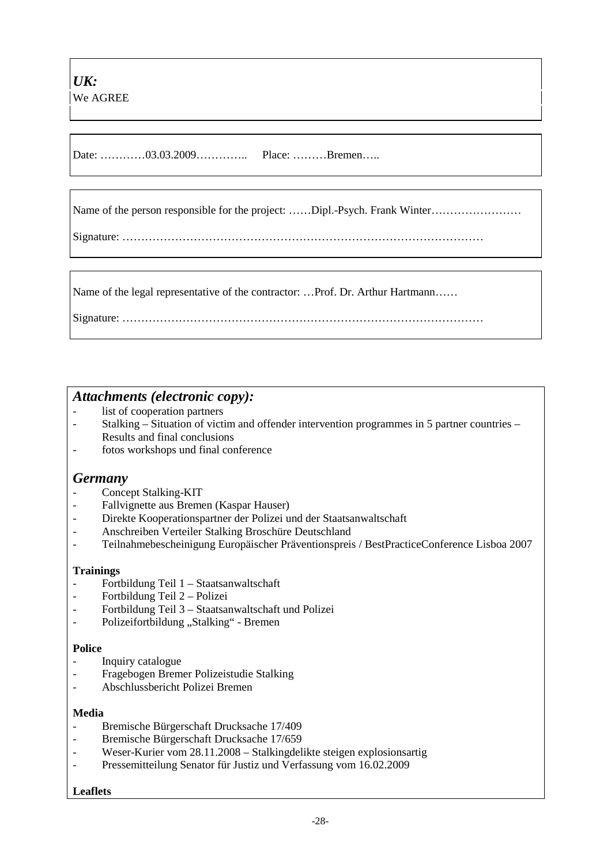Date: …………03.03.2009………………………………………Bremen……

Name of the person responsible for the project: ……Dipl.-Psych. Frank Winter……………………

Signature: ……………………………………………………………………………………

Name of the legal representative of the contractor: …Prof. Dr. Arthur Hartmann……

Signature: ……………………………………………………………………………………

### *Attachments (electronic copy):*

- list of cooperation partners
- Stalking Situation of victim and offender intervention programmes in 5 partner countries Results and final conclusions
- fotos workshops und final conference

### *Germany*

- Concept Stalking-KIT
- Fallvignette aus Bremen (Kaspar Hauser)
- Direkte Kooperationspartner der Polizei und der Staatsanwaltschaft
- Anschreiben Verteiler Stalking Broschüre Deutschland
- Teilnahmebescheinigung Europäischer Präventionspreis / BestPracticeConference Lisboa 2007

#### **Trainings**

- Fortbildung Teil 1 Staatsanwaltschaft
- Fortbildung Teil 2 Polizei
- Fortbildung Teil 3 Staatsanwaltschaft und Polizei
- Polizeifortbildung "Stalking" Bremen

#### **Police**

- Inquiry catalogue
- Fragebogen Bremer Polizeistudie Stalking
- Abschlussbericht Polizei Bremen

#### **Media**

- Bremische Bürgerschaft Drucksache 17/409
- Bremische Bürgerschaft Drucksache 17/659
- Weser-Kurier vom 28.11.2008 Stalkingdelikte steigen explosionsartig
- Pressemitteilung Senator für Justiz und Verfassung vom 16.02.2009

#### **Leaflets**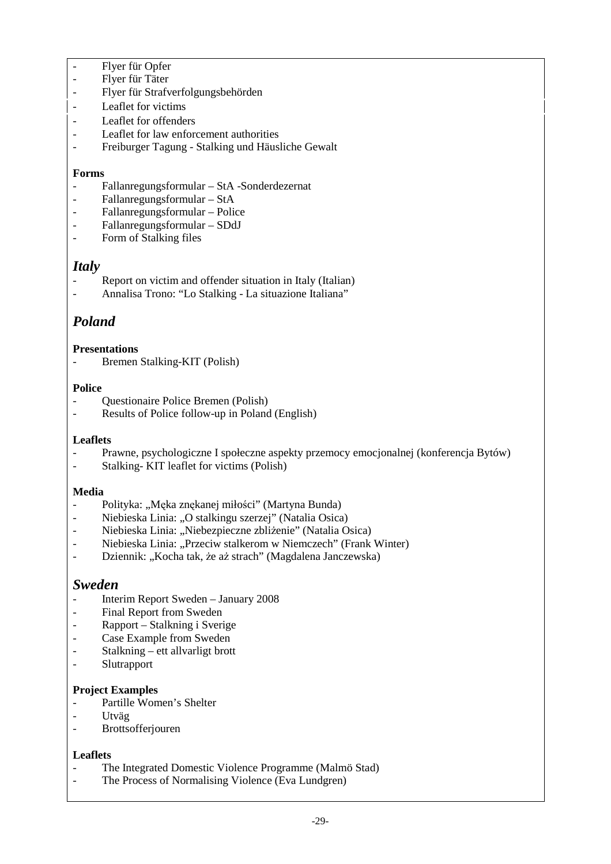- Flyer für Opfer
- Flyer für Täter
- Flyer für Strafverfolgungsbehörden
- Leaflet for victims
- Leaflet for offenders
- Leaflet for law enforcement authorities
- Freiburger Tagung Stalking und Häusliche Gewalt

#### **Forms**

- Fallanregungsformular StA -Sonderdezernat
- Fallanregungsformular StA
- Fallanregungsformular Police
- Fallanregungsformular SDdJ
- Form of Stalking files

### *Italy*

- Report on victim and offender situation in Italy (Italian)
- Annalisa Trono: "Lo Stalking La situazione Italiana"

# *Poland*

#### **Presentations**

Bremen Stalking-KIT (Polish)

#### **Police**

- Questionaire Police Bremen (Polish)
- Results of Police follow-up in Poland (English)

#### **Leaflets**

- Prawne, psychologiczne I społeczne aspekty przemocy emocjonalnej (konferencja Bytów)
- Stalking- KIT leaflet for victims (Polish)

#### **Media**

- Polityka: "Męka znękanej miłości" (Martyna Bunda)
- Niebieska Linia: "O stalkingu szerzej" (Natalia Osica)
- Niebieska Linia: "Niebezpieczne zbliżenie" (Natalia Osica)
- Niebieska Linia: "Przeciw stalkerom w Niemczech" (Frank Winter)
- Dziennik: "Kocha tak, że aż strach" (Magdalena Janczewska)

### *Sweden*

- Interim Report Sweden January 2008
- Final Report from Sweden
- Rapport Stalkning i Sverige
- Case Example from Sweden
- Stalkning ett allvarligt brott
- **Slutrapport**

#### **Project Examples**

- Partille Women's Shelter
- Utväg
- **Brottsofferiouren**

#### **Leaflets**

- The Integrated Domestic Violence Programme (Malmö Stad)
- The Process of Normalising Violence (Eva Lundgren)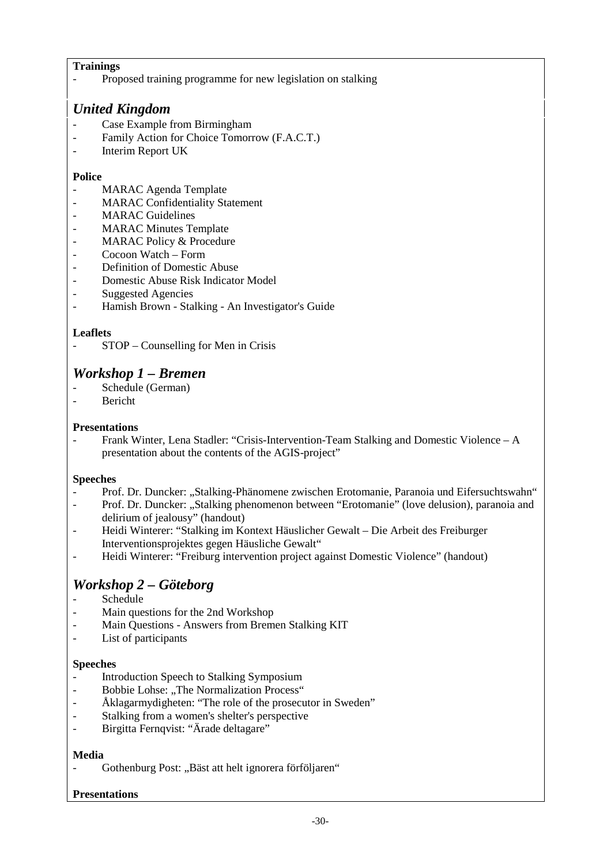### **Trainings**

Proposed training programme for new legislation on stalking

### *United Kingdom*

- Case Example from Birmingham
- Family Action for Choice Tomorrow (F.A.C.T.)
- Interim Report UK

### **Police**

- MARAC Agenda Template
- MARAC Confidentiality Statement
- MARAC Guidelines
- MARAC Minutes Template
- MARAC Policy & Procedure
- Cocoon Watch Form
- Definition of Domestic Abuse
- Domestic Abuse Risk Indicator Model
- Suggested Agencies
- Hamish Brown Stalking An Investigator's Guide

### **Leaflets**

- STOP – Counselling for Men in Crisis

# *Workshop 1 – Bremen*

- Schedule (German)
- Bericht

### **Presentations**

- Frank Winter, Lena Stadler: "Crisis-Intervention-Team Stalking and Domestic Violence – A presentation about the contents of the AGIS-project"

#### **Speeches**

- Prof. Dr. Duncker: "Stalking-Phänomene zwischen Erotomanie, Paranoia und Eifersuchtswahn" - Prof. Dr. Duncker: "Stalking phenomenon between "Erotomanie" (love delusion), paranoia and
- delirium of jealousy" (handout)
- Heidi Winterer: "Stalking im Kontext Häuslicher Gewalt Die Arbeit des Freiburger Interventionsprojektes gegen Häusliche Gewalt"
- Heidi Winterer: "Freiburg intervention project against Domestic Violence" (handout)

# *Workshop 2 – Göteborg*

- **Schedule**
- Main questions for the 2nd Workshop
- Main Questions Answers from Bremen Stalking KIT
- List of participants

#### **Speeches**

- Introduction Speech to Stalking Symposium
- Bobbie Lohse: "The Normalization Process"
- Åklagarmydigheten: "The role of the prosecutor in Sweden"
- Stalking from a women's shelter's perspective
- Birgitta Fernqvist: "Ärade deltagare"

#### **Media**

- Gothenburg Post: "Bäst att helt ignorera förföljaren"

### **Presentations**